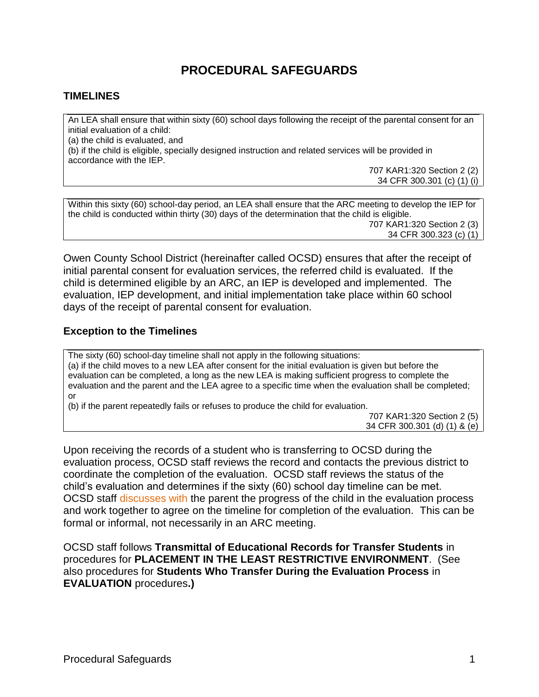# **PROCEDURAL SAFEGUARDS**

#### **TIMELINES**

An LEA shall ensure that within sixty (60) school days following the receipt of the parental consent for an initial evaluation of a child: (a) the child is evaluated, and (b) if the child is eligible, specially designed instruction and related services will be provided in accordance with the IEP.

> 707 KAR1:320 Section 2 (2) 34 CFR 300.301 (c) (1) (i)

Within this sixty (60) school-day period, an LEA shall ensure that the ARC meeting to develop the IEP for the child is conducted within thirty (30) days of the determination that the child is eligible. 707 KAR1:320 Section 2 (3) 34 CFR 300.323 (c) (1)

Owen County School District (hereinafter called OCSD) ensures that after the receipt of initial parental consent for evaluation services, the referred child is evaluated. If the child is determined eligible by an ARC, an IEP is developed and implemented. The evaluation, IEP development, and initial implementation take place within 60 school days of the receipt of parental consent for evaluation.

#### **Exception to the Timelines**

The sixty (60) school-day timeline shall not apply in the following situations: (a) if the child moves to a new LEA after consent for the initial evaluation is given but before the evaluation can be completed, a long as the new LEA is making sufficient progress to complete the evaluation and the parent and the LEA agree to a specific time when the evaluation shall be completed; or

(b) if the parent repeatedly fails or refuses to produce the child for evaluation.

707 KAR1:320 Section 2 (5) 34 CFR 300.301 (d) (1) & (e)

Upon receiving the records of a student who is transferring to OCSD during the evaluation process, OCSD staff reviews the record and contacts the previous district to coordinate the completion of the evaluation. OCSD staff reviews the status of the child's evaluation and determines if the sixty (60) school day timeline can be met. OCSD staff discusses with the parent the progress of the child in the evaluation process and work together to agree on the timeline for completion of the evaluation. This can be formal or informal, not necessarily in an ARC meeting.

OCSD staff follows **Transmittal of Educational Records for Transfer Students** in procedures for **PLACEMENT IN THE LEAST RESTRICTIVE ENVIRONMENT**. (See also procedures for **Students Who Transfer During the Evaluation Process** in **EVALUATION** procedures**.)**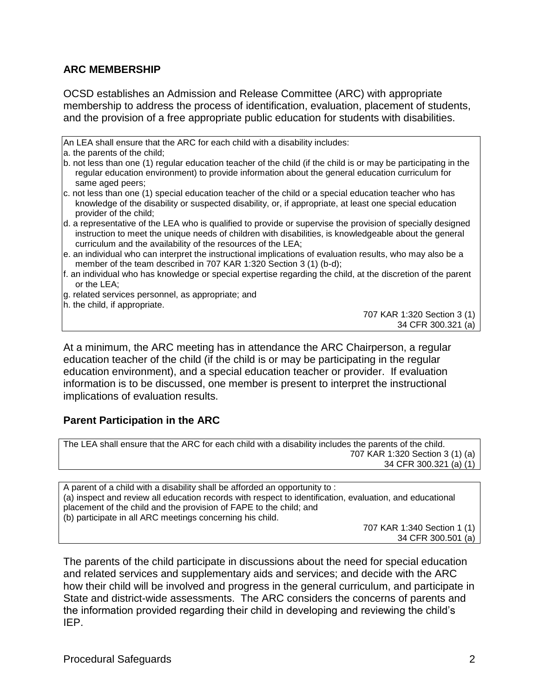### **ARC MEMBERSHIP**

OCSD establishes an Admission and Release Committee (ARC) with appropriate membership to address the process of identification, evaluation, placement of students, and the provision of a free appropriate public education for students with disabilities.

An LEA shall ensure that the ARC for each child with a disability includes:

- a. the parents of the child;
- b. not less than one (1) regular education teacher of the child (if the child is or may be participating in the regular education environment) to provide information about the general education curriculum for same aged peers;
- c. not less than one (1) special education teacher of the child or a special education teacher who has knowledge of the disability or suspected disability, or, if appropriate, at least one special education provider of the child;
- d. a representative of the LEA who is qualified to provide or supervise the provision of specially designed instruction to meet the unique needs of children with disabilities, is knowledgeable about the general curriculum and the availability of the resources of the LEA;
- e. an individual who can interpret the instructional implications of evaluation results, who may also be a member of the team described in 707 KAR 1:320 Section 3 (1) (b-d);
- f. an individual who has knowledge or special expertise regarding the child, at the discretion of the parent or the LEA;
- g. related services personnel, as appropriate; and
- h. the child, if appropriate.

707 KAR 1:320 Section 3 (1) 34 CFR 300.321 (a)

At a minimum, the ARC meeting has in attendance the ARC Chairperson, a regular education teacher of the child (if the child is or may be participating in the regular education environment), and a special education teacher or provider. If evaluation information is to be discussed, one member is present to interpret the instructional implications of evaluation results.

#### **Parent Participation in the ARC**

The LEA shall ensure that the ARC for each child with a disability includes the parents of the child. 707 KAR 1:320 Section 3 (1) (a) 34 CFR 300.321 (a) (1)

A parent of a child with a disability shall be afforded an opportunity to : (a) inspect and review all education records with respect to identification, evaluation, and educational placement of the child and the provision of FAPE to the child; and (b) participate in all ARC meetings concerning his child. 707 KAR 1:340 Section 1 (1)

34 CFR 300.501 (a)

The parents of the child participate in discussions about the need for special education and related services and supplementary aids and services; and decide with the ARC how their child will be involved and progress in the general curriculum, and participate in State and district-wide assessments. The ARC considers the concerns of parents and the information provided regarding their child in developing and reviewing the child's IEP.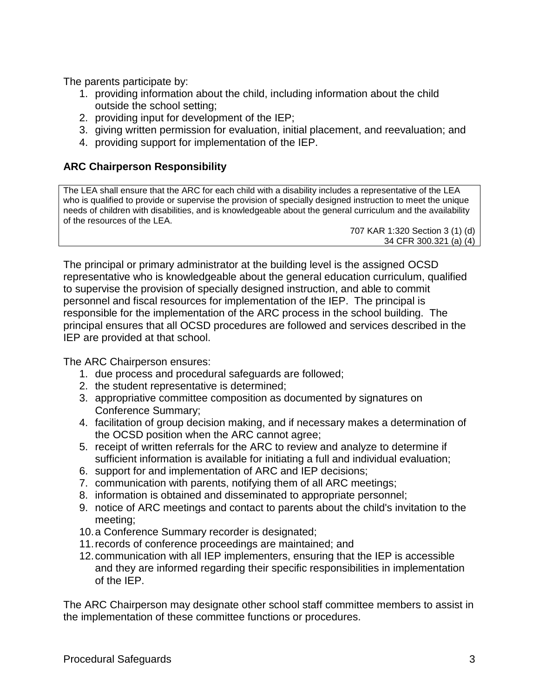The parents participate by:

- 1. providing information about the child, including information about the child outside the school setting;
- 2. providing input for development of the IEP;
- 3. giving written permission for evaluation, initial placement, and reevaluation; and
- 4. providing support for implementation of the IEP.

## **ARC Chairperson Responsibility**

The LEA shall ensure that the ARC for each child with a disability includes a representative of the LEA who is qualified to provide or supervise the provision of specially designed instruction to meet the unique needs of children with disabilities, and is knowledgeable about the general curriculum and the availability of the resources of the LEA.

707 KAR 1:320 Section 3 (1) (d) 34 CFR 300.321 (a) (4)

The principal or primary administrator at the building level is the assigned OCSD representative who is knowledgeable about the general education curriculum, qualified to supervise the provision of specially designed instruction, and able to commit personnel and fiscal resources for implementation of the IEP. The principal is responsible for the implementation of the ARC process in the school building. The principal ensures that all OCSD procedures are followed and services described in the IEP are provided at that school.

The ARC Chairperson ensures:

- 1. due process and procedural safeguards are followed;
- 2. the student representative is determined;
- 3. appropriative committee composition as documented by signatures on Conference Summary;
- 4. facilitation of group decision making, and if necessary makes a determination of the OCSD position when the ARC cannot agree;
- 5. receipt of written referrals for the ARC to review and analyze to determine if sufficient information is available for initiating a full and individual evaluation;
- 6. support for and implementation of ARC and IEP decisions;
- 7. communication with parents, notifying them of all ARC meetings;
- 8. information is obtained and disseminated to appropriate personnel;
- 9. notice of ARC meetings and contact to parents about the child's invitation to the meeting;
- 10.a Conference Summary recorder is designated;
- 11.records of conference proceedings are maintained; and
- 12.communication with all IEP implementers, ensuring that the IEP is accessible and they are informed regarding their specific responsibilities in implementation of the IEP.

The ARC Chairperson may designate other school staff committee members to assist in the implementation of these committee functions or procedures.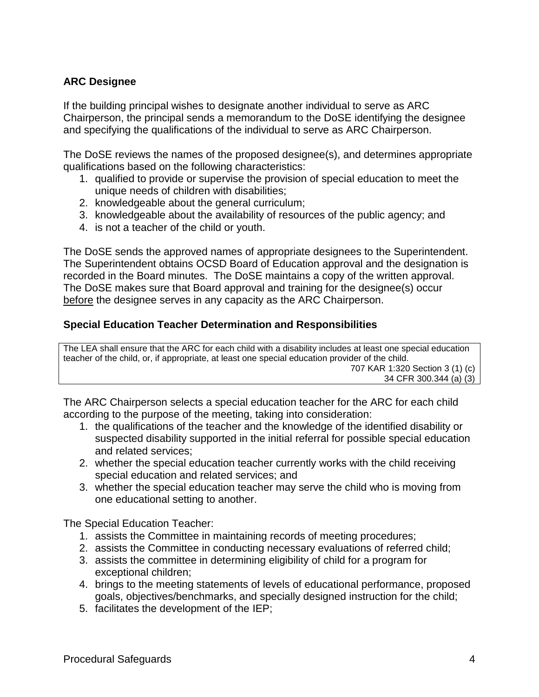## **ARC Designee**

If the building principal wishes to designate another individual to serve as ARC Chairperson, the principal sends a memorandum to the DoSE identifying the designee and specifying the qualifications of the individual to serve as ARC Chairperson.

The DoSE reviews the names of the proposed designee(s), and determines appropriate qualifications based on the following characteristics:

- 1. qualified to provide or supervise the provision of special education to meet the unique needs of children with disabilities;
- 2. knowledgeable about the general curriculum;
- 3. knowledgeable about the availability of resources of the public agency; and
- 4. is not a teacher of the child or youth.

The DoSE sends the approved names of appropriate designees to the Superintendent. The Superintendent obtains OCSD Board of Education approval and the designation is recorded in the Board minutes. The DoSE maintains a copy of the written approval. The DoSE makes sure that Board approval and training for the designee(s) occur before the designee serves in any capacity as the ARC Chairperson.

#### **Special Education Teacher Determination and Responsibilities**

The LEA shall ensure that the ARC for each child with a disability includes at least one special education teacher of the child, or, if appropriate, at least one special education provider of the child. 707 KAR 1:320 Section 3 (1) (c) 34 CFR 300.344 (a) (3)

The ARC Chairperson selects a special education teacher for the ARC for each child according to the purpose of the meeting, taking into consideration:

- 1. the qualifications of the teacher and the knowledge of the identified disability or suspected disability supported in the initial referral for possible special education and related services;
- 2. whether the special education teacher currently works with the child receiving special education and related services; and
- 3. whether the special education teacher may serve the child who is moving from one educational setting to another.

The Special Education Teacher:

- 1. assists the Committee in maintaining records of meeting procedures;
- 2. assists the Committee in conducting necessary evaluations of referred child;
- 3. assists the committee in determining eligibility of child for a program for exceptional children;
- 4. brings to the meeting statements of levels of educational performance, proposed goals, objectives/benchmarks, and specially designed instruction for the child;
- 5. facilitates the development of the IEP;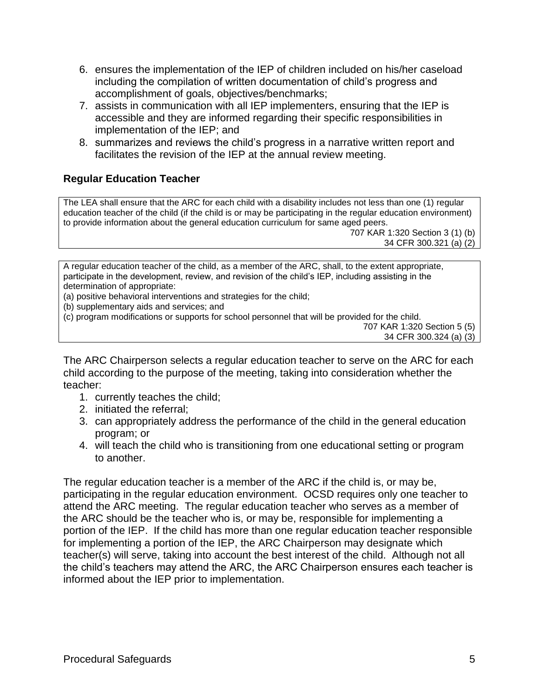- 6. ensures the implementation of the IEP of children included on his/her caseload including the compilation of written documentation of child's progress and accomplishment of goals, objectives/benchmarks;
- 7. assists in communication with all IEP implementers, ensuring that the IEP is accessible and they are informed regarding their specific responsibilities in implementation of the IEP; and
- 8. summarizes and reviews the child's progress in a narrative written report and facilitates the revision of the IEP at the annual review meeting.

## **Regular Education Teacher**

The LEA shall ensure that the ARC for each child with a disability includes not less than one (1) regular education teacher of the child (if the child is or may be participating in the regular education environment) to provide information about the general education curriculum for same aged peers.

707 KAR 1:320 Section 3 (1) (b) 34 CFR 300.321 (a) (2)

A regular education teacher of the child, as a member of the ARC, shall, to the extent appropriate, participate in the development, review, and revision of the child's IEP, including assisting in the determination of appropriate:

(a) positive behavioral interventions and strategies for the child;

- (b) supplementary aids and services; and
- (c) program modifications or supports for school personnel that will be provided for the child.

The ARC Chairperson selects a regular education teacher to serve on the ARC for each child according to the purpose of the meeting, taking into consideration whether the teacher:

- 1. currently teaches the child;
- 2. initiated the referral;
- 3. can appropriately address the performance of the child in the general education program; or
- 4. will teach the child who is transitioning from one educational setting or program to another.

The regular education teacher is a member of the ARC if the child is, or may be, participating in the regular education environment. OCSD requires only one teacher to attend the ARC meeting. The regular education teacher who serves as a member of the ARC should be the teacher who is, or may be, responsible for implementing a portion of the IEP. If the child has more than one regular education teacher responsible for implementing a portion of the IEP, the ARC Chairperson may designate which teacher(s) will serve, taking into account the best interest of the child. Although not all the child's teachers may attend the ARC, the ARC Chairperson ensures each teacher is informed about the IEP prior to implementation.

<sup>707</sup> KAR 1:320 Section 5 (5) 34 CFR 300.324 (a) (3)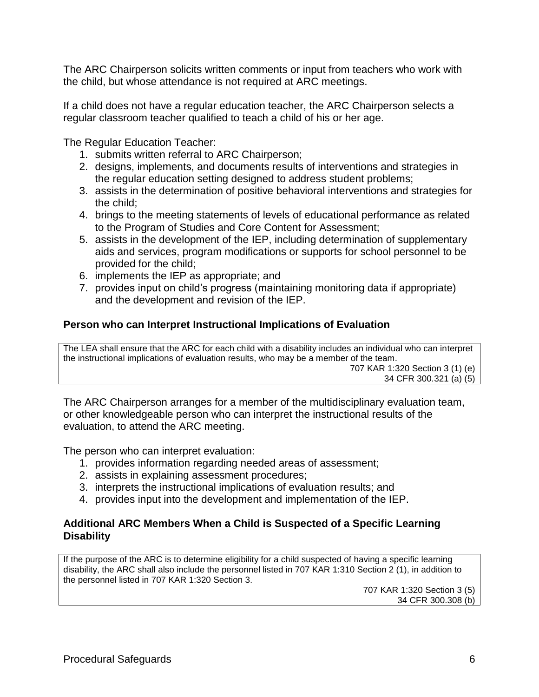The ARC Chairperson solicits written comments or input from teachers who work with the child, but whose attendance is not required at ARC meetings.

If a child does not have a regular education teacher, the ARC Chairperson selects a regular classroom teacher qualified to teach a child of his or her age.

The Regular Education Teacher:

- 1. submits written referral to ARC Chairperson;
- 2. designs, implements, and documents results of interventions and strategies in the regular education setting designed to address student problems;
- 3. assists in the determination of positive behavioral interventions and strategies for the child;
- 4. brings to the meeting statements of levels of educational performance as related to the Program of Studies and Core Content for Assessment;
- 5. assists in the development of the IEP, including determination of supplementary aids and services, program modifications or supports for school personnel to be provided for the child;
- 6. implements the IEP as appropriate; and
- 7. provides input on child's progress (maintaining monitoring data if appropriate) and the development and revision of the IEP.

## **Person who can Interpret Instructional Implications of Evaluation**

The LEA shall ensure that the ARC for each child with a disability includes an individual who can interpret the instructional implications of evaluation results, who may be a member of the team. 707 KAR 1:320 Section 3 (1) (e) 34 CFR 300.321 (a) (5)

The ARC Chairperson arranges for a member of the multidisciplinary evaluation team, or other knowledgeable person who can interpret the instructional results of the evaluation, to attend the ARC meeting.

The person who can interpret evaluation:

- 1. provides information regarding needed areas of assessment;
- 2. assists in explaining assessment procedures;
- 3. interprets the instructional implications of evaluation results; and
- 4. provides input into the development and implementation of the IEP.

### **Additional ARC Members When a Child is Suspected of a Specific Learning Disability**

If the purpose of the ARC is to determine eligibility for a child suspected of having a specific learning disability, the ARC shall also include the personnel listed in 707 KAR 1:310 Section 2 (1), in addition to the personnel listed in 707 KAR 1:320 Section 3.

707 KAR 1:320 Section 3 (5) 34 CFR 300.308 (b)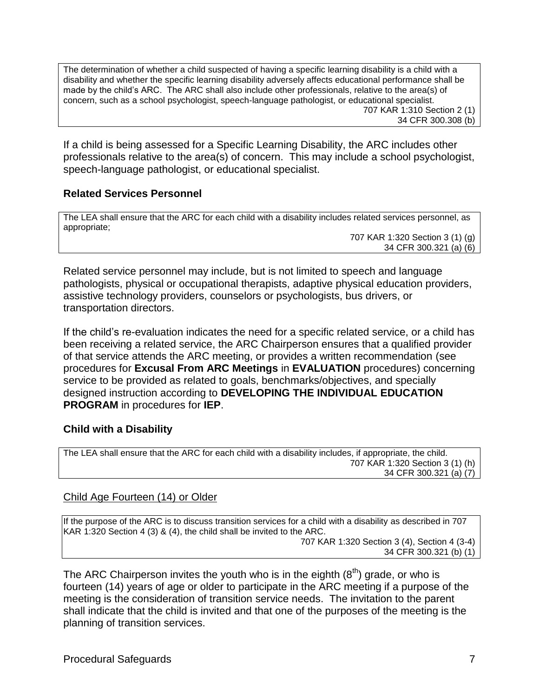The determination of whether a child suspected of having a specific learning disability is a child with a disability and whether the specific learning disability adversely affects educational performance shall be made by the child's ARC. The ARC shall also include other professionals, relative to the area(s) of concern, such as a school psychologist, speech-language pathologist, or educational specialist. 707 KAR 1:310 Section 2 (1) 34 CFR 300.308 (b)

If a child is being assessed for a Specific Learning Disability, the ARC includes other professionals relative to the area(s) of concern. This may include a school psychologist, speech-language pathologist, or educational specialist.

#### **Related Services Personnel**

The LEA shall ensure that the ARC for each child with a disability includes related services personnel, as appropriate;

707 KAR 1:320 Section 3 (1) (g) 34 CFR 300.321 (a) (6)

Related service personnel may include, but is not limited to speech and language pathologists, physical or occupational therapists, adaptive physical education providers, assistive technology providers, counselors or psychologists, bus drivers, or transportation directors.

If the child's re-evaluation indicates the need for a specific related service, or a child has been receiving a related service, the ARC Chairperson ensures that a qualified provider of that service attends the ARC meeting, or provides a written recommendation (see procedures for **Excusal From ARC Meetings** in **EVALUATION** procedures) concerning service to be provided as related to goals, benchmarks/objectives, and specially designed instruction according to **DEVELOPING THE INDIVIDUAL EDUCATION PROGRAM** in procedures for **IEP**.

#### **Child with a Disability**

The LEA shall ensure that the ARC for each child with a disability includes, if appropriate, the child. 707 KAR 1:320 Section 3 (1) (h) 34 CFR 300.321 (a) (7)

#### Child Age Fourteen (14) or Older

If the purpose of the ARC is to discuss transition services for a child with a disability as described in 707 KAR 1:320 Section 4 (3) & (4), the child shall be invited to the ARC. 707 KAR 1:320 Section 3 (4), Section 4 (3-4) 34 CFR 300.321 (b) (1)

The ARC Chairperson invites the youth who is in the eighth  $(8<sup>th</sup>)$  grade, or who is fourteen (14) years of age or older to participate in the ARC meeting if a purpose of the meeting is the consideration of transition service needs. The invitation to the parent shall indicate that the child is invited and that one of the purposes of the meeting is the planning of transition services.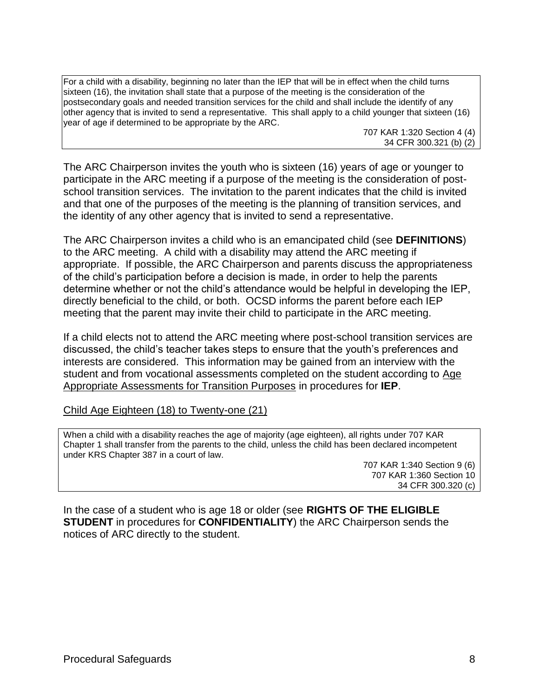For a child with a disability, beginning no later than the IEP that will be in effect when the child turns sixteen (16), the invitation shall state that a purpose of the meeting is the consideration of the postsecondary goals and needed transition services for the child and shall include the identify of any other agency that is invited to send a representative. This shall apply to a child younger that sixteen (16) year of age if determined to be appropriate by the ARC.

707 KAR 1:320 Section 4 (4) 34 CFR 300.321 (b) (2)

The ARC Chairperson invites the youth who is sixteen (16) years of age or younger to participate in the ARC meeting if a purpose of the meeting is the consideration of postschool transition services. The invitation to the parent indicates that the child is invited and that one of the purposes of the meeting is the planning of transition services, and the identity of any other agency that is invited to send a representative.

The ARC Chairperson invites a child who is an emancipated child (see **DEFINITIONS**) to the ARC meeting. A child with a disability may attend the ARC meeting if appropriate. If possible, the ARC Chairperson and parents discuss the appropriateness of the child's participation before a decision is made, in order to help the parents determine whether or not the child's attendance would be helpful in developing the IEP, directly beneficial to the child, or both. OCSD informs the parent before each IEP meeting that the parent may invite their child to participate in the ARC meeting.

If a child elects not to attend the ARC meeting where post-school transition services are discussed, the child's teacher takes steps to ensure that the youth's preferences and interests are considered. This information may be gained from an interview with the student and from vocational assessments completed on the student according to Age Appropriate Assessments for Transition Purposes in procedures for **IEP**.

Child Age Eighteen (18) to Twenty-one (21)

When a child with a disability reaches the age of majority (age eighteen), all rights under 707 KAR Chapter 1 shall transfer from the parents to the child, unless the child has been declared incompetent under KRS Chapter 387 in a court of law.

> 707 KAR 1:340 Section 9 (6) 707 KAR 1:360 Section 10 34 CFR 300.320 (c)

In the case of a student who is age 18 or older (see **RIGHTS OF THE ELIGIBLE STUDENT** in procedures for **CONFIDENTIALITY**) the ARC Chairperson sends the notices of ARC directly to the student.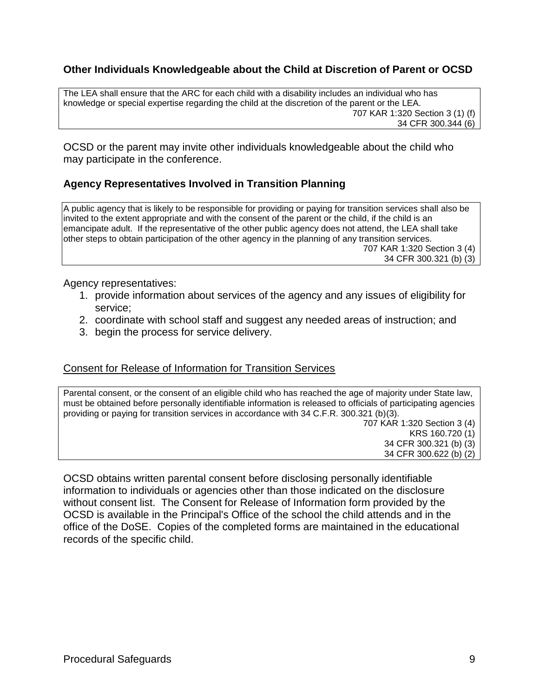## **Other Individuals Knowledgeable about the Child at Discretion of Parent or OCSD**

The LEA shall ensure that the ARC for each child with a disability includes an individual who has knowledge or special expertise regarding the child at the discretion of the parent or the LEA. 707 KAR 1:320 Section 3 (1) (f) 34 CFR 300.344 (6)

OCSD or the parent may invite other individuals knowledgeable about the child who may participate in the conference.

## **Agency Representatives Involved in Transition Planning**

A public agency that is likely to be responsible for providing or paying for transition services shall also be invited to the extent appropriate and with the consent of the parent or the child, if the child is an emancipate adult. If the representative of the other public agency does not attend, the LEA shall take other steps to obtain participation of the other agency in the planning of any transition services. 707 KAR 1:320 Section 3 (4)

34 CFR 300.321 (b) (3)

Agency representatives:

- 1. provide information about services of the agency and any issues of eligibility for service;
- 2. coordinate with school staff and suggest any needed areas of instruction; and
- 3. begin the process for service delivery.

#### Consent for Release of Information for Transition Services

Parental consent, or the consent of an eligible child who has reached the age of majority under State law, must be obtained before personally identifiable information is released to officials of participating agencies providing or paying for transition services in accordance with 34 C.F.R. 300.321 (b)(3). 707 KAR 1:320 Section 3 (4) KRS 160.720 (1) 34 CFR 300.321 (b) (3) 34 CFR 300.622 (b) (2)

OCSD obtains written parental consent before disclosing personally identifiable information to individuals or agencies other than those indicated on the disclosure without consent list. The Consent for Release of Information form provided by the OCSD is available in the Principal's Office of the school the child attends and in the office of the DoSE. Copies of the completed forms are maintained in the educational records of the specific child.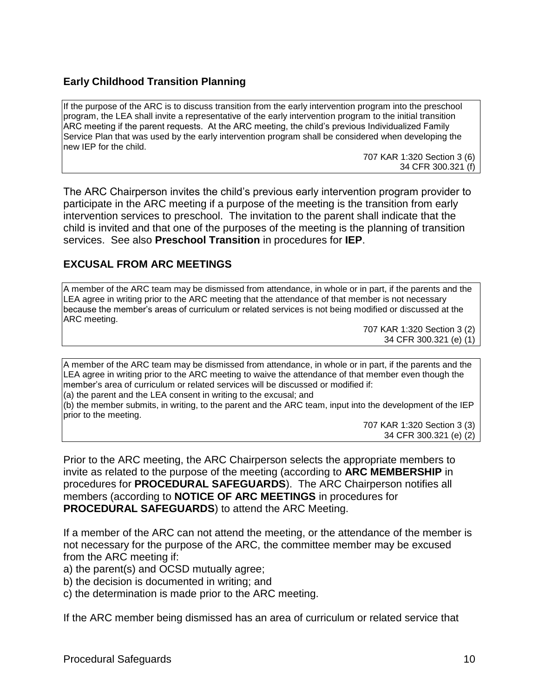## **Early Childhood Transition Planning**

If the purpose of the ARC is to discuss transition from the early intervention program into the preschool program, the LEA shall invite a representative of the early intervention program to the initial transition ARC meeting if the parent requests. At the ARC meeting, the child's previous Individualized Family Service Plan that was used by the early intervention program shall be considered when developing the new IEP for the child.

> 707 KAR 1:320 Section 3 (6) 34 CFR 300.321 (f)

The ARC Chairperson invites the child's previous early intervention program provider to participate in the ARC meeting if a purpose of the meeting is the transition from early intervention services to preschool. The invitation to the parent shall indicate that the child is invited and that one of the purposes of the meeting is the planning of transition services. See also **Preschool Transition** in procedures for **IEP**.

### **EXCUSAL FROM ARC MEETINGS**

A member of the ARC team may be dismissed from attendance, in whole or in part, if the parents and the LEA agree in writing prior to the ARC meeting that the attendance of that member is not necessary because the member's areas of curriculum or related services is not being modified or discussed at the ARC meeting.

707 KAR 1:320 Section 3 (2) 34 CFR 300.321 (e) (1)

A member of the ARC team may be dismissed from attendance, in whole or in part, if the parents and the LEA agree in writing prior to the ARC meeting to waive the attendance of that member even though the member's area of curriculum or related services will be discussed or modified if:

(a) the parent and the LEA consent in writing to the excusal; and

(b) the member submits, in writing, to the parent and the ARC team, input into the development of the IEP prior to the meeting.

707 KAR 1:320 Section 3 (3) 34 CFR 300.321 (e) (2)

Prior to the ARC meeting, the ARC Chairperson selects the appropriate members to invite as related to the purpose of the meeting (according to **ARC MEMBERSHIP** in procedures for **PROCEDURAL SAFEGUARDS**). The ARC Chairperson notifies all members (according to **NOTICE OF ARC MEETINGS** in procedures for **PROCEDURAL SAFEGUARDS**) to attend the ARC Meeting.

If a member of the ARC can not attend the meeting, or the attendance of the member is not necessary for the purpose of the ARC, the committee member may be excused from the ARC meeting if:

- a) the parent(s) and OCSD mutually agree;
- b) the decision is documented in writing; and

c) the determination is made prior to the ARC meeting.

If the ARC member being dismissed has an area of curriculum or related service that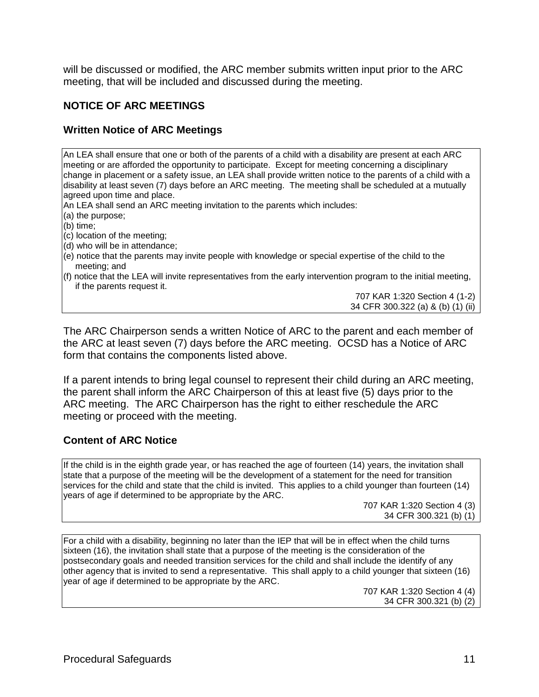will be discussed or modified, the ARC member submits written input prior to the ARC meeting, that will be included and discussed during the meeting.

### **NOTICE OF ARC MEETINGS**

### **Written Notice of ARC Meetings**

An LEA shall ensure that one or both of the parents of a child with a disability are present at each ARC meeting or are afforded the opportunity to participate. Except for meeting concerning a disciplinary change in placement or a safety issue, an LEA shall provide written notice to the parents of a child with a disability at least seven (7) days before an ARC meeting. The meeting shall be scheduled at a mutually agreed upon time and place.

An LEA shall send an ARC meeting invitation to the parents which includes:

(a) the purpose;

(b) time;

- (c) location of the meeting;
- (d) who will be in attendance;
- (e) notice that the parents may invite people with knowledge or special expertise of the child to the meeting; and
- (f) notice that the LEA will invite representatives from the early intervention program to the initial meeting, if the parents request it.

707 KAR 1:320 Section 4 (1-2) 34 CFR 300.322 (a) & (b) (1) (ii)

The ARC Chairperson sends a written Notice of ARC to the parent and each member of the ARC at least seven (7) days before the ARC meeting. OCSD has a Notice of ARC form that contains the components listed above.

If a parent intends to bring legal counsel to represent their child during an ARC meeting, the parent shall inform the ARC Chairperson of this at least five (5) days prior to the ARC meeting. The ARC Chairperson has the right to either reschedule the ARC meeting or proceed with the meeting.

#### **Content of ARC Notice**

If the child is in the eighth grade year, or has reached the age of fourteen (14) years, the invitation shall state that a purpose of the meeting will be the development of a statement for the need for transition services for the child and state that the child is invited. This applies to a child younger than fourteen (14) years of age if determined to be appropriate by the ARC.

707 KAR 1:320 Section 4 (3) 34 CFR 300.321 (b) (1)

For a child with a disability, beginning no later than the IEP that will be in effect when the child turns sixteen (16), the invitation shall state that a purpose of the meeting is the consideration of the postsecondary goals and needed transition services for the child and shall include the identify of any other agency that is invited to send a representative. This shall apply to a child younger that sixteen (16) year of age if determined to be appropriate by the ARC.

707 KAR 1:320 Section 4 (4) 34 CFR 300.321 (b) (2)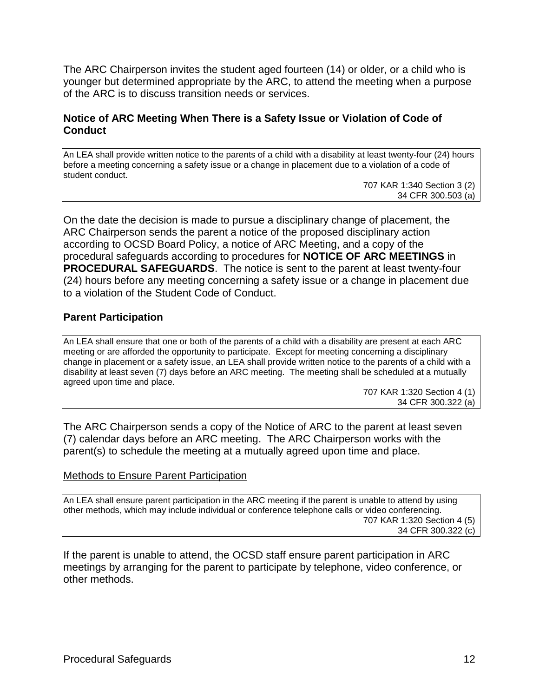The ARC Chairperson invites the student aged fourteen (14) or older, or a child who is younger but determined appropriate by the ARC, to attend the meeting when a purpose of the ARC is to discuss transition needs or services.

### **Notice of ARC Meeting When There is a Safety Issue or Violation of Code of Conduct**

An LEA shall provide written notice to the parents of a child with a disability at least twenty-four (24) hours before a meeting concerning a safety issue or a change in placement due to a violation of a code of student conduct.

707 KAR 1:340 Section 3 (2) 34 CFR 300.503 (a)

On the date the decision is made to pursue a disciplinary change of placement, the ARC Chairperson sends the parent a notice of the proposed disciplinary action according to OCSD Board Policy, a notice of ARC Meeting, and a copy of the procedural safeguards according to procedures for **NOTICE OF ARC MEETINGS** in **PROCEDURAL SAFEGUARDS**. The notice is sent to the parent at least twenty-four (24) hours before any meeting concerning a safety issue or a change in placement due to a violation of the Student Code of Conduct.

#### **Parent Participation**

An LEA shall ensure that one or both of the parents of a child with a disability are present at each ARC meeting or are afforded the opportunity to participate. Except for meeting concerning a disciplinary change in placement or a safety issue, an LEA shall provide written notice to the parents of a child with a disability at least seven (7) days before an ARC meeting. The meeting shall be scheduled at a mutually agreed upon time and place.

> 707 KAR 1:320 Section 4 (1) 34 CFR 300.322 (a)

The ARC Chairperson sends a copy of the Notice of ARC to the parent at least seven (7) calendar days before an ARC meeting. The ARC Chairperson works with the parent(s) to schedule the meeting at a mutually agreed upon time and place.

#### Methods to Ensure Parent Participation

An LEA shall ensure parent participation in the ARC meeting if the parent is unable to attend by using other methods, which may include individual or conference telephone calls or video conferencing. 707 KAR 1:320 Section 4 (5) 34 CFR 300.322 (c)

If the parent is unable to attend, the OCSD staff ensure parent participation in ARC meetings by arranging for the parent to participate by telephone, video conference, or other methods.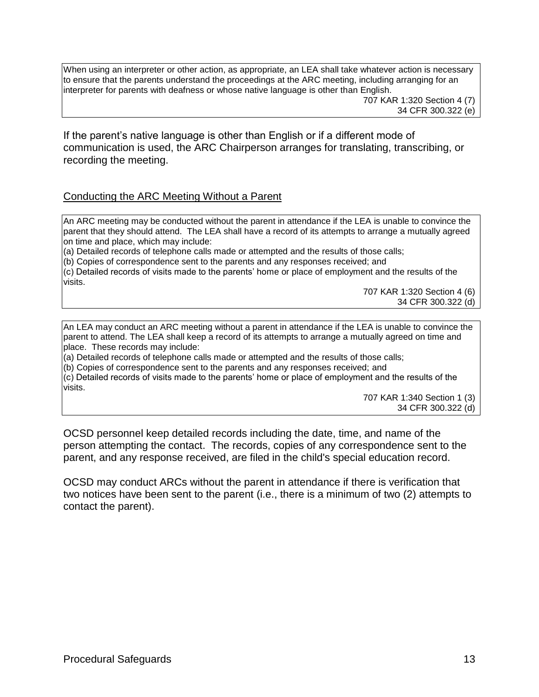When using an interpreter or other action, as appropriate, an LEA shall take whatever action is necessary to ensure that the parents understand the proceedings at the ARC meeting, including arranging for an interpreter for parents with deafness or whose native language is other than English.

707 KAR 1:320 Section 4 (7) 34 CFR 300.322 (e)

If the parent's native language is other than English or if a different mode of communication is used, the ARC Chairperson arranges for translating, transcribing, or recording the meeting.

#### Conducting the ARC Meeting Without a Parent

An ARC meeting may be conducted without the parent in attendance if the LEA is unable to convince the parent that they should attend. The LEA shall have a record of its attempts to arrange a mutually agreed on time and place, which may include:

(a) Detailed records of telephone calls made or attempted and the results of those calls;

(b) Copies of correspondence sent to the parents and any responses received; and

(c) Detailed records of visits made to the parents' home or place of employment and the results of the visits.

707 KAR 1:320 Section 4 (6) 34 CFR 300.322 (d)

An LEA may conduct an ARC meeting without a parent in attendance if the LEA is unable to convince the parent to attend. The LEA shall keep a record of its attempts to arrange a mutually agreed on time and place. These records may include:

(a) Detailed records of telephone calls made or attempted and the results of those calls;

(b) Copies of correspondence sent to the parents and any responses received; and

(c) Detailed records of visits made to the parents' home or place of employment and the results of the visits.

707 KAR 1:340 Section 1 (3) 34 CFR 300.322 (d)

OCSD personnel keep detailed records including the date, time, and name of the person attempting the contact. The records, copies of any correspondence sent to the parent, and any response received, are filed in the child's special education record.

OCSD may conduct ARCs without the parent in attendance if there is verification that two notices have been sent to the parent (i.e., there is a minimum of two (2) attempts to contact the parent).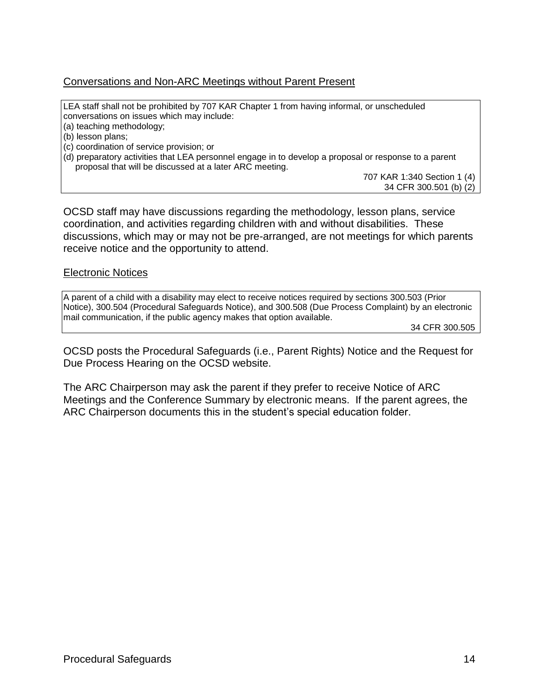### Conversations and Non-ARC Meetings without Parent Present

LEA staff shall not be prohibited by 707 KAR Chapter 1 from having informal, or unscheduled conversations on issues which may include:

(a) teaching methodology;

(b) lesson plans;

(c) coordination of service provision; or

(d) preparatory activities that LEA personnel engage in to develop a proposal or response to a parent proposal that will be discussed at a later ARC meeting.

> 707 KAR 1:340 Section 1 (4) 34 CFR 300.501 (b) (2)

OCSD staff may have discussions regarding the methodology, lesson plans, service coordination, and activities regarding children with and without disabilities. These discussions, which may or may not be pre-arranged, are not meetings for which parents receive notice and the opportunity to attend.

#### Electronic Notices

A parent of a child with a disability may elect to receive notices required by sections 300.503 (Prior Notice), 300.504 (Procedural Safeguards Notice), and 300.508 (Due Process Complaint) by an electronic mail communication, if the public agency makes that option available.

34 CFR 300.505

OCSD posts the Procedural Safeguards (i.e., Parent Rights) Notice and the Request for Due Process Hearing on the OCSD website.

The ARC Chairperson may ask the parent if they prefer to receive Notice of ARC Meetings and the Conference Summary by electronic means. If the parent agrees, the ARC Chairperson documents this in the student's special education folder.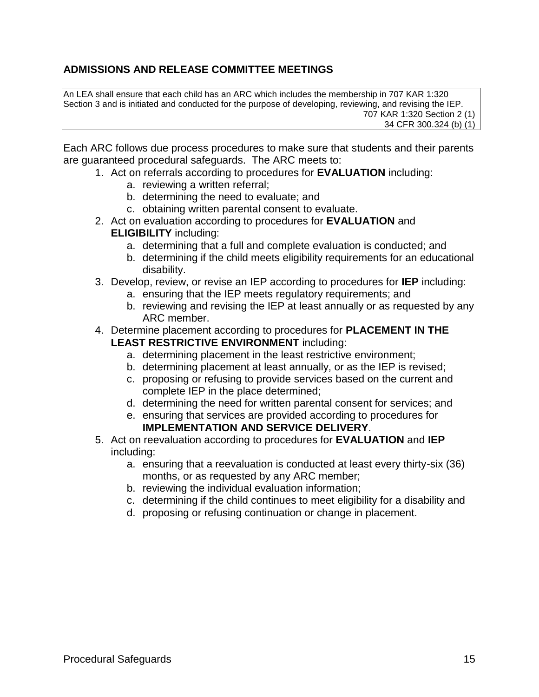## **ADMISSIONS AND RELEASE COMMITTEE MEETINGS**

An LEA shall ensure that each child has an ARC which includes the membership in 707 KAR 1:320 Section 3 and is initiated and conducted for the purpose of developing, reviewing, and revising the IEP. 707 KAR 1:320 Section 2 (1) 34 CFR 300.324 (b) (1)

Each ARC follows due process procedures to make sure that students and their parents are guaranteed procedural safeguards. The ARC meets to:

- 1. Act on referrals according to procedures for **EVALUATION** including:
	- a. reviewing a written referral;
	- b. determining the need to evaluate; and
	- c. obtaining written parental consent to evaluate.
- 2. Act on evaluation according to procedures for **EVALUATION** and **ELIGIBILITY** including:
	- a. determining that a full and complete evaluation is conducted; and
	- b. determining if the child meets eligibility requirements for an educational disability.
- 3. Develop, review, or revise an IEP according to procedures for **IEP** including:
	- a. ensuring that the IEP meets regulatory requirements; and
	- b. reviewing and revising the IEP at least annually or as requested by any ARC member.
- 4. Determine placement according to procedures for **PLACEMENT IN THE LEAST RESTRICTIVE ENVIRONMENT** including:
	- a. determining placement in the least restrictive environment;
	- b. determining placement at least annually, or as the IEP is revised;
	- c. proposing or refusing to provide services based on the current and complete IEP in the place determined;
	- d. determining the need for written parental consent for services; and
	- e. ensuring that services are provided according to procedures for **IMPLEMENTATION AND SERVICE DELIVERY**.
- 5. Act on reevaluation according to procedures for **EVALUATION** and **IEP** including:
	- a. ensuring that a reevaluation is conducted at least every thirty-six (36) months, or as requested by any ARC member;
	- b. reviewing the individual evaluation information;
	- c. determining if the child continues to meet eligibility for a disability and
	- d. proposing or refusing continuation or change in placement.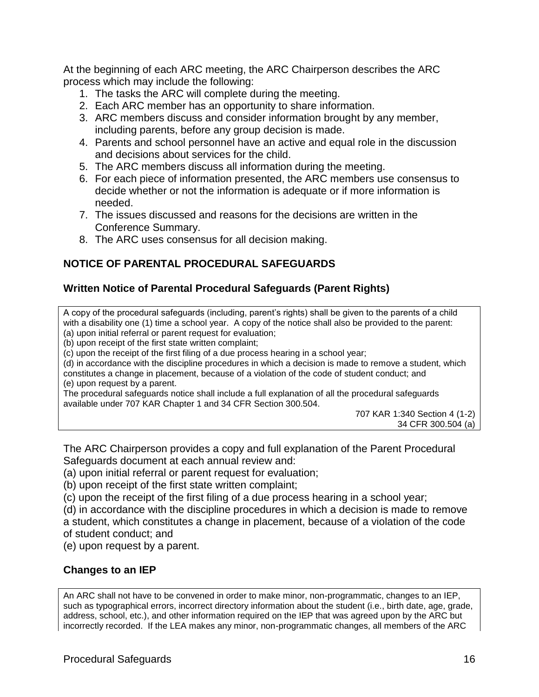At the beginning of each ARC meeting, the ARC Chairperson describes the ARC process which may include the following:

- 1. The tasks the ARC will complete during the meeting.
- 2. Each ARC member has an opportunity to share information.
- 3. ARC members discuss and consider information brought by any member, including parents, before any group decision is made.
- 4. Parents and school personnel have an active and equal role in the discussion and decisions about services for the child.
- 5. The ARC members discuss all information during the meeting.
- 6. For each piece of information presented, the ARC members use consensus to decide whether or not the information is adequate or if more information is needed.
- 7. The issues discussed and reasons for the decisions are written in the Conference Summary.
- 8. The ARC uses consensus for all decision making.

## **NOTICE OF PARENTAL PROCEDURAL SAFEGUARDS**

### **Written Notice of Parental Procedural Safeguards (Parent Rights)**

A copy of the procedural safeguards (including, parent's rights) shall be given to the parents of a child with a disability one (1) time a school year. A copy of the notice shall also be provided to the parent: (a) upon initial referral or parent request for evaluation;

(b) upon receipt of the first state written complaint;

(c) upon the receipt of the first filing of a due process hearing in a school year;

(d) in accordance with the discipline procedures in which a decision is made to remove a student, which constitutes a change in placement, because of a violation of the code of student conduct; and (e) upon request by a parent.

The procedural safeguards notice shall include a full explanation of all the procedural safeguards available under 707 KAR Chapter 1 and 34 CFR Section 300.504.

707 KAR 1:340 Section 4 (1-2) 34 CFR 300.504 (a)

The ARC Chairperson provides a copy and full explanation of the Parent Procedural Safeguards document at each annual review and:

(a) upon initial referral or parent request for evaluation;

(b) upon receipt of the first state written complaint;

(c) upon the receipt of the first filing of a due process hearing in a school year;

(d) in accordance with the discipline procedures in which a decision is made to remove a student, which constitutes a change in placement, because of a violation of the code of student conduct; and

(e) upon request by a parent.

#### **Changes to an IEP**

An ARC shall not have to be convened in order to make minor, non-programmatic, changes to an IEP, such as typographical errors, incorrect directory information about the student (i.e., birth date, age, grade, address, school, etc.), and other information required on the IEP that was agreed upon by the ARC but incorrectly recorded. If the LEA makes any minor, non-programmatic changes, all members of the ARC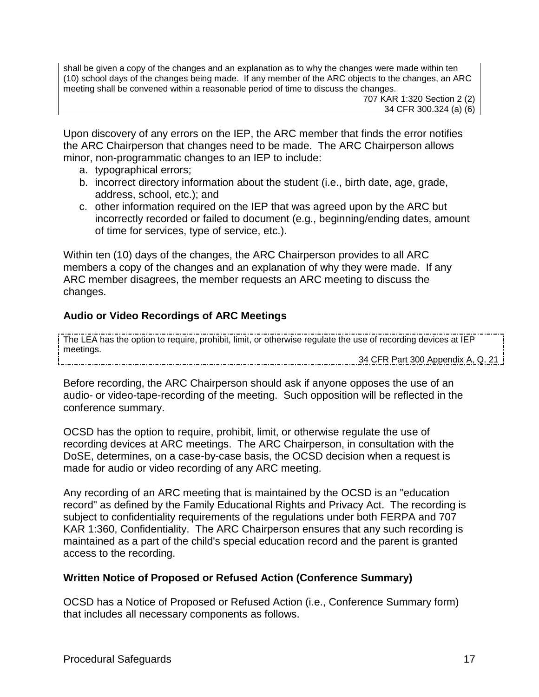shall be given a copy of the changes and an explanation as to why the changes were made within ten (10) school days of the changes being made. If any member of the ARC objects to the changes, an ARC meeting shall be convened within a reasonable period of time to discuss the changes.

707 KAR 1:320 Section 2 (2) 34 CFR 300.324 (a) (6)

Upon discovery of any errors on the IEP, the ARC member that finds the error notifies the ARC Chairperson that changes need to be made. The ARC Chairperson allows minor, non-programmatic changes to an IEP to include:

- a. typographical errors;
- b. incorrect directory information about the student (i.e., birth date, age, grade, address, school, etc.); and
- c. other information required on the IEP that was agreed upon by the ARC but incorrectly recorded or failed to document (e.g., beginning/ending dates, amount of time for services, type of service, etc.).

Within ten (10) days of the changes, the ARC Chairperson provides to all ARC members a copy of the changes and an explanation of why they were made. If any ARC member disagrees, the member requests an ARC meeting to discuss the changes.

## **Audio or Video Recordings of ARC Meetings**

The LEA has the option to require, prohibit, limit, or otherwise regulate the use of recording devices at IEP meetings.

34 CFR Part 300 Appendix A, Q. 21

Before recording, the ARC Chairperson should ask if anyone opposes the use of an audio- or video-tape-recording of the meeting. Such opposition will be reflected in the conference summary.

OCSD has the option to require, prohibit, limit, or otherwise regulate the use of recording devices at ARC meetings. The ARC Chairperson, in consultation with the DoSE, determines, on a case-by-case basis, the OCSD decision when a request is made for audio or video recording of any ARC meeting.

Any recording of an ARC meeting that is maintained by the OCSD is an "education record" as defined by the Family Educational Rights and Privacy Act. The recording is subject to confidentiality requirements of the regulations under both FERPA and 707 KAR 1:360, Confidentiality. The ARC Chairperson ensures that any such recording is maintained as a part of the child's special education record and the parent is granted access to the recording.

## **Written Notice of Proposed or Refused Action (Conference Summary)**

OCSD has a Notice of Proposed or Refused Action (i.e., Conference Summary form) that includes all necessary components as follows.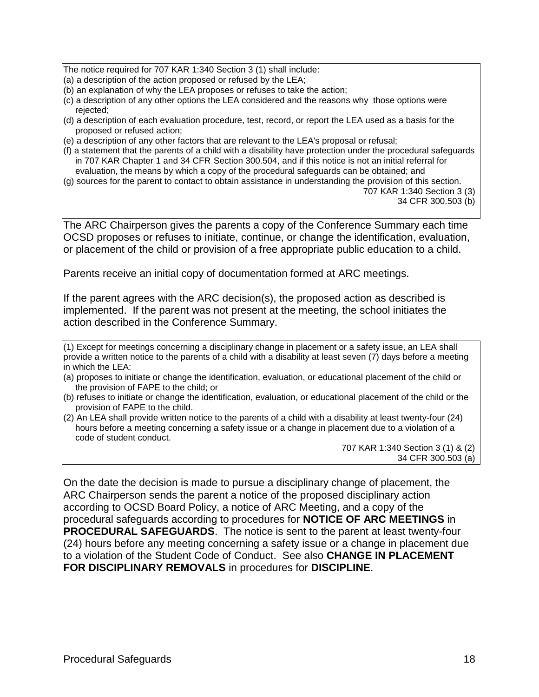The notice required for 707 KAR 1:340 Section 3 (1) shall include:

- (a) a description of the action proposed or refused by the LEA;
- (b) an explanation of why the LEA proposes or refuses to take the action;
- (c) a description of any other options the LEA considered and the reasons why those options were rejected;
- (d) a description of each evaluation procedure, test, record, or report the LEA used as a basis for the proposed or refused action;
- (e) a description of any other factors that are relevant to the LEA's proposal or refusal;
- (f) a statement that the parents of a child with a disability have protection under the procedural safeguards in 707 KAR Chapter 1 and 34 CFR Section 300.504, and if this notice is not an initial referral for evaluation, the means by which a copy of the procedural safeguards can be obtained; and
- (g) sources for the parent to contact to obtain assistance in understanding the provision of this section.

707 KAR 1:340 Section 3 (3) 34 CFR 300.503 (b)

The ARC Chairperson gives the parents a copy of the Conference Summary each time OCSD proposes or refuses to initiate, continue, or change the identification, evaluation, or placement of the child or provision of a free appropriate public education to a child.

Parents receive an initial copy of documentation formed at ARC meetings.

If the parent agrees with the ARC decision(s), the proposed action as described is implemented. If the parent was not present at the meeting, the school initiates the action described in the Conference Summary.

(1) Except for meetings concerning a disciplinary change in placement or a safety issue, an LEA shall provide a written notice to the parents of a child with a disability at least seven (7) days before a meeting in which the LEA:

- (a) proposes to initiate or change the identification, evaluation, or educational placement of the child or the provision of FAPE to the child; or
- (b) refuses to initiate or change the identification, evaluation, or educational placement of the child or the provision of FAPE to the child.
- (2) An LEA shall provide written notice to the parents of a child with a disability at least twenty-four (24) hours before a meeting concerning a safety issue or a change in placement due to a violation of a code of student conduct.

707 KAR 1:340 Section 3 (1) & (2) 34 CFR 300.503 (a)

On the date the decision is made to pursue a disciplinary change of placement, the ARC Chairperson sends the parent a notice of the proposed disciplinary action according to OCSD Board Policy, a notice of ARC Meeting, and a copy of the procedural safeguards according to procedures for **NOTICE OF ARC MEETINGS** in **PROCEDURAL SAFEGUARDS**. The notice is sent to the parent at least twenty-four (24) hours before any meeting concerning a safety issue or a change in placement due to a violation of the Student Code of Conduct. See also **CHANGE IN PLACEMENT FOR DISCIPLINARY REMOVALS** in procedures for **DISCIPLINE**.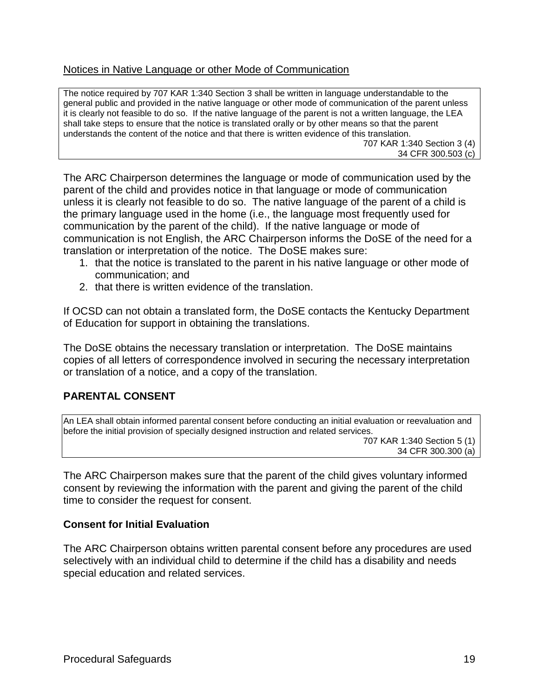### Notices in Native Language or other Mode of Communication

The notice required by 707 KAR 1:340 Section 3 shall be written in language understandable to the general public and provided in the native language or other mode of communication of the parent unless it is clearly not feasible to do so. If the native language of the parent is not a written language, the LEA shall take steps to ensure that the notice is translated orally or by other means so that the parent understands the content of the notice and that there is written evidence of this translation. 707 KAR 1:340 Section 3 (4) 34 CFR 300.503 (c)

The ARC Chairperson determines the language or mode of communication used by the parent of the child and provides notice in that language or mode of communication unless it is clearly not feasible to do so. The native language of the parent of a child is the primary language used in the home (i.e., the language most frequently used for communication by the parent of the child). If the native language or mode of communication is not English, the ARC Chairperson informs the DoSE of the need for a translation or interpretation of the notice. The DoSE makes sure:

- 1. that the notice is translated to the parent in his native language or other mode of communication; and
- 2. that there is written evidence of the translation.

If OCSD can not obtain a translated form, the DoSE contacts the Kentucky Department of Education for support in obtaining the translations.

The DoSE obtains the necessary translation or interpretation. The DoSE maintains copies of all letters of correspondence involved in securing the necessary interpretation or translation of a notice, and a copy of the translation.

## **PARENTAL CONSENT**

An LEA shall obtain informed parental consent before conducting an initial evaluation or reevaluation and before the initial provision of specially designed instruction and related services. 707 KAR 1:340 Section 5 (1) 34 CFR 300.300 (a)

The ARC Chairperson makes sure that the parent of the child gives voluntary informed consent by reviewing the information with the parent and giving the parent of the child time to consider the request for consent.

#### **Consent for Initial Evaluation**

The ARC Chairperson obtains written parental consent before any procedures are used selectively with an individual child to determine if the child has a disability and needs special education and related services.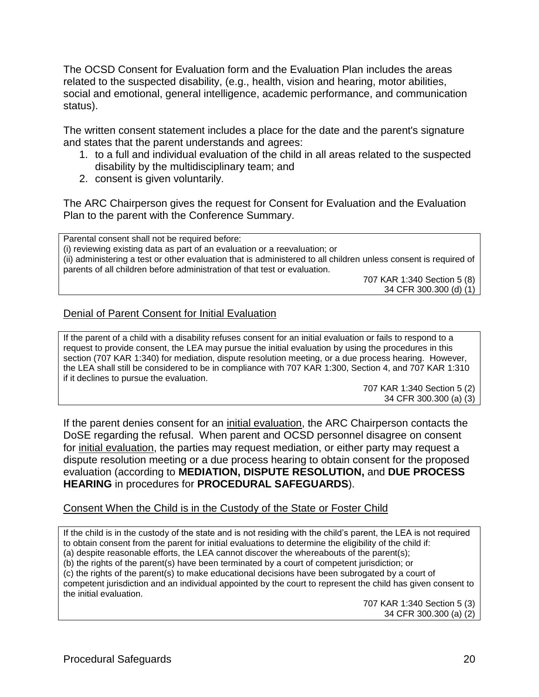The OCSD Consent for Evaluation form and the Evaluation Plan includes the areas related to the suspected disability, (e.g., health, vision and hearing, motor abilities, social and emotional, general intelligence, academic performance, and communication status).

The written consent statement includes a place for the date and the parent's signature and states that the parent understands and agrees:

- 1. to a full and individual evaluation of the child in all areas related to the suspected disability by the multidisciplinary team; and
- 2. consent is given voluntarily.

The ARC Chairperson gives the request for Consent for Evaluation and the Evaluation Plan to the parent with the Conference Summary.

Parental consent shall not be required before: (i) reviewing existing data as part of an evaluation or a reevaluation; or (ii) administering a test or other evaluation that is administered to all children unless consent is required of parents of all children before administration of that test or evaluation.

707 KAR 1:340 Section 5 (8) 34 CFR 300.300 (d) (1)

### Denial of Parent Consent for Initial Evaluation

If the parent of a child with a disability refuses consent for an initial evaluation or fails to respond to a request to provide consent, the LEA may pursue the initial evaluation by using the procedures in this section (707 KAR 1:340) for mediation, dispute resolution meeting, or a due process hearing. However, the LEA shall still be considered to be in compliance with 707 KAR 1:300, Section 4, and 707 KAR 1:310 if it declines to pursue the evaluation.

> 707 KAR 1:340 Section 5 (2) 34 CFR 300.300 (a) (3)

If the parent denies consent for an initial evaluation, the ARC Chairperson contacts the DoSE regarding the refusal. When parent and OCSD personnel disagree on consent for initial evaluation, the parties may request mediation, or either party may request a dispute resolution meeting or a due process hearing to obtain consent for the proposed evaluation (according to **MEDIATION, DISPUTE RESOLUTION,** and **DUE PROCESS HEARING** in procedures for **PROCEDURAL SAFEGUARDS**).

#### Consent When the Child is in the Custody of the State or Foster Child

If the child is in the custody of the state and is not residing with the child's parent, the LEA is not required to obtain consent from the parent for initial evaluations to determine the eligibility of the child if: (a) despite reasonable efforts, the LEA cannot discover the whereabouts of the parent(s); (b) the rights of the parent(s) have been terminated by a court of competent jurisdiction; or (c) the rights of the parent(s) to make educational decisions have been subrogated by a court of competent jurisdiction and an individual appointed by the court to represent the child has given consent to the initial evaluation.

707 KAR 1:340 Section 5 (3) 34 CFR 300.300 (a) (2)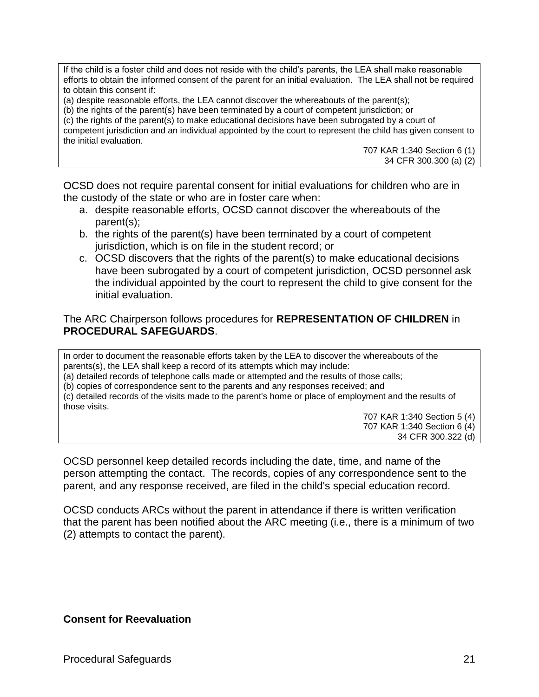If the child is a foster child and does not reside with the child's parents, the LEA shall make reasonable efforts to obtain the informed consent of the parent for an initial evaluation. The LEA shall not be required to obtain this consent if:

(a) despite reasonable efforts, the LEA cannot discover the whereabouts of the parent(s);

(b) the rights of the parent(s) have been terminated by a court of competent jurisdiction; or

(c) the rights of the parent(s) to make educational decisions have been subrogated by a court of competent jurisdiction and an individual appointed by the court to represent the child has given consent to the initial evaluation.

> 707 KAR 1:340 Section 6 (1) 34 CFR 300.300 (a) (2)

OCSD does not require parental consent for initial evaluations for children who are in the custody of the state or who are in foster care when:

- a. despite reasonable efforts, OCSD cannot discover the whereabouts of the parent(s);
- b. the rights of the parent(s) have been terminated by a court of competent jurisdiction, which is on file in the student record; or
- c. OCSD discovers that the rights of the parent(s) to make educational decisions have been subrogated by a court of competent jurisdiction, OCSD personnel ask the individual appointed by the court to represent the child to give consent for the initial evaluation.

#### The ARC Chairperson follows procedures for **REPRESENTATION OF CHILDREN** in **PROCEDURAL SAFEGUARDS**.

In order to document the reasonable efforts taken by the LEA to discover the whereabouts of the parents(s), the LEA shall keep a record of its attempts which may include:

(a) detailed records of telephone calls made or attempted and the results of those calls;

(b) copies of correspondence sent to the parents and any responses received; and

(c) detailed records of the visits made to the parent's home or place of employment and the results of those visits.

707 KAR 1:340 Section 5 (4) 707 KAR 1:340 Section 6 (4) 34 CFR 300.322 (d)

OCSD personnel keep detailed records including the date, time, and name of the person attempting the contact. The records, copies of any correspondence sent to the parent, and any response received, are filed in the child's special education record.

OCSD conducts ARCs without the parent in attendance if there is written verification that the parent has been notified about the ARC meeting (i.e., there is a minimum of two (2) attempts to contact the parent).

**Consent for Reevaluation**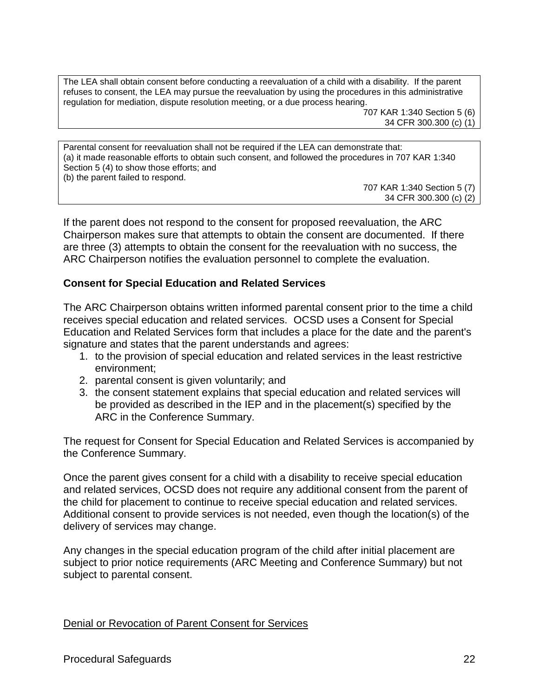The LEA shall obtain consent before conducting a reevaluation of a child with a disability. If the parent refuses to consent, the LEA may pursue the reevaluation by using the procedures in this administrative regulation for mediation, dispute resolution meeting, or a due process hearing.

> 707 KAR 1:340 Section 5 (6) 34 CFR 300.300 (c) (1)

Parental consent for reevaluation shall not be required if the LEA can demonstrate that: (a) it made reasonable efforts to obtain such consent, and followed the procedures in 707 KAR 1:340 Section 5 (4) to show those efforts; and (b) the parent failed to respond.

> 707 KAR 1:340 Section 5 (7) 34 CFR 300.300 (c) (2)

If the parent does not respond to the consent for proposed reevaluation, the ARC Chairperson makes sure that attempts to obtain the consent are documented. If there are three (3) attempts to obtain the consent for the reevaluation with no success, the ARC Chairperson notifies the evaluation personnel to complete the evaluation.

#### **Consent for Special Education and Related Services**

The ARC Chairperson obtains written informed parental consent prior to the time a child receives special education and related services. OCSD uses a Consent for Special Education and Related Services form that includes a place for the date and the parent's signature and states that the parent understands and agrees:

- 1. to the provision of special education and related services in the least restrictive environment;
- 2. parental consent is given voluntarily; and
- 3. the consent statement explains that special education and related services will be provided as described in the IEP and in the placement(s) specified by the ARC in the Conference Summary.

The request for Consent for Special Education and Related Services is accompanied by the Conference Summary.

Once the parent gives consent for a child with a disability to receive special education and related services, OCSD does not require any additional consent from the parent of the child for placement to continue to receive special education and related services. Additional consent to provide services is not needed, even though the location(s) of the delivery of services may change.

Any changes in the special education program of the child after initial placement are subject to prior notice requirements (ARC Meeting and Conference Summary) but not subject to parental consent.

Denial or Revocation of Parent Consent for Services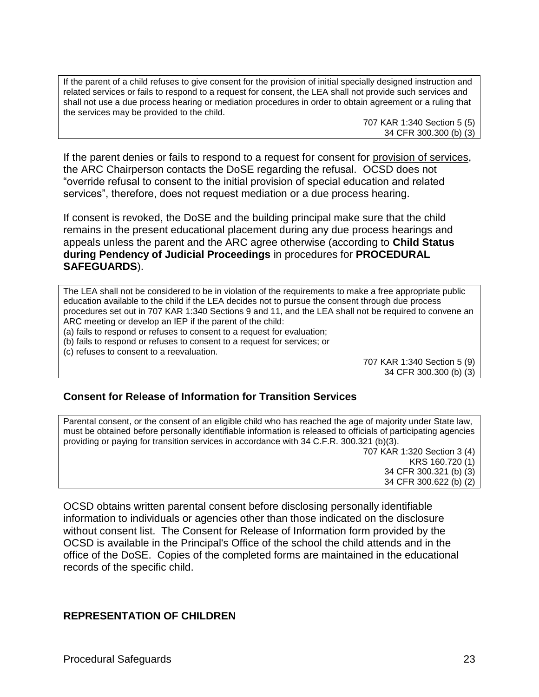If the parent of a child refuses to give consent for the provision of initial specially designed instruction and related services or fails to respond to a request for consent, the LEA shall not provide such services and shall not use a due process hearing or mediation procedures in order to obtain agreement or a ruling that the services may be provided to the child.

707 KAR 1:340 Section 5 (5) 34 CFR 300.300 (b) (3)

If the parent denies or fails to respond to a request for consent for provision of services, the ARC Chairperson contacts the DoSE regarding the refusal. OCSD does not "override refusal to consent to the initial provision of special education and related services", therefore, does not request mediation or a due process hearing.

If consent is revoked, the DoSE and the building principal make sure that the child remains in the present educational placement during any due process hearings and appeals unless the parent and the ARC agree otherwise (according to **Child Status during Pendency of Judicial Proceedings** in procedures for **PROCEDURAL SAFEGUARDS**).

The LEA shall not be considered to be in violation of the requirements to make a free appropriate public education available to the child if the LEA decides not to pursue the consent through due process procedures set out in 707 KAR 1:340 Sections 9 and 11, and the LEA shall not be required to convene an ARC meeting or develop an IEP if the parent of the child:

(a) fails to respond or refuses to consent to a request for evaluation;

(b) fails to respond or refuses to consent to a request for services; or

(c) refuses to consent to a reevaluation.

707 KAR 1:340 Section 5 (9) 34 CFR 300.300 (b) (3)

#### **Consent for Release of Information for Transition Services**

Parental consent, or the consent of an eligible child who has reached the age of majority under State law, must be obtained before personally identifiable information is released to officials of participating agencies providing or paying for transition services in accordance with 34 C.F.R. 300.321 (b)(3). 707 KAR 1:320 Section 3 (4)

KRS 160.720 (1) 34 CFR 300.321 (b) (3) 34 CFR 300.622 (b) (2)

OCSD obtains written parental consent before disclosing personally identifiable information to individuals or agencies other than those indicated on the disclosure without consent list. The Consent for Release of Information form provided by the OCSD is available in the Principal's Office of the school the child attends and in the office of the DoSE. Copies of the completed forms are maintained in the educational records of the specific child.

#### **REPRESENTATION OF CHILDREN**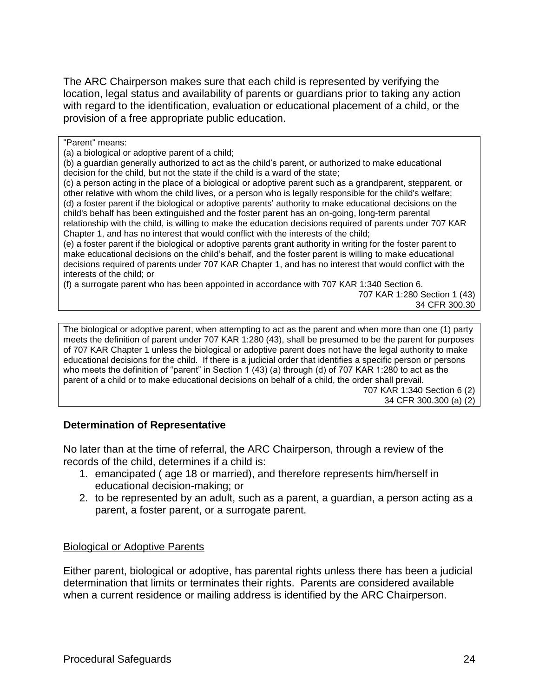The ARC Chairperson makes sure that each child is represented by verifying the location, legal status and availability of parents or guardians prior to taking any action with regard to the identification, evaluation or educational placement of a child, or the provision of a free appropriate public education.

"Parent" means:

(a) a biological or adoptive parent of a child;

(b) a guardian generally authorized to act as the child's parent, or authorized to make educational decision for the child, but not the state if the child is a ward of the state;

(c) a person acting in the place of a biological or adoptive parent such as a grandparent, stepparent, or other relative with whom the child lives, or a person who is legally responsible for the child's welfare; (d) a foster parent if the biological or adoptive parents' authority to make educational decisions on the child's behalf has been extinguished and the foster parent has an on-going, long-term parental relationship with the child, is willing to make the education decisions required of parents under 707 KAR Chapter 1, and has no interest that would conflict with the interests of the child;

(e) a foster parent if the biological or adoptive parents grant authority in writing for the foster parent to make educational decisions on the child's behalf, and the foster parent is willing to make educational decisions required of parents under 707 KAR Chapter 1, and has no interest that would conflict with the interests of the child; or

(f) a surrogate parent who has been appointed in accordance with 707 KAR 1:340 Section 6.

707 KAR 1:280 Section 1 (43) 34 CFR 300.30

The biological or adoptive parent, when attempting to act as the parent and when more than one (1) party meets the definition of parent under 707 KAR 1:280 (43), shall be presumed to be the parent for purposes of 707 KAR Chapter 1 unless the biological or adoptive parent does not have the legal authority to make educational decisions for the child. If there is a judicial order that identifies a specific person or persons who meets the definition of "parent" in Section 1 (43) (a) through (d) of 707 KAR 1:280 to act as the parent of a child or to make educational decisions on behalf of a child, the order shall prevail. 707 KAR 1:340 Section 6 (2)

#### 34 CFR 300.300 (a) (2)

#### **Determination of Representative**

No later than at the time of referral, the ARC Chairperson, through a review of the records of the child, determines if a child is:

- 1. emancipated ( age 18 or married), and therefore represents him/herself in educational decision-making; or
- 2. to be represented by an adult, such as a parent, a guardian, a person acting as a parent, a foster parent, or a surrogate parent.

#### Biological or Adoptive Parents

Either parent, biological or adoptive, has parental rights unless there has been a judicial determination that limits or terminates their rights. Parents are considered available when a current residence or mailing address is identified by the ARC Chairperson.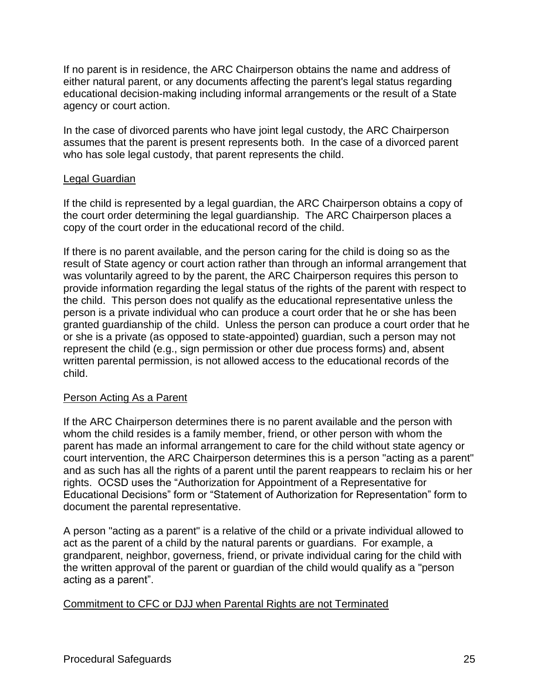If no parent is in residence, the ARC Chairperson obtains the name and address of either natural parent, or any documents affecting the parent's legal status regarding educational decision-making including informal arrangements or the result of a State agency or court action.

In the case of divorced parents who have joint legal custody, the ARC Chairperson assumes that the parent is present represents both. In the case of a divorced parent who has sole legal custody, that parent represents the child.

#### Legal Guardian

If the child is represented by a legal guardian, the ARC Chairperson obtains a copy of the court order determining the legal guardianship. The ARC Chairperson places a copy of the court order in the educational record of the child.

If there is no parent available, and the person caring for the child is doing so as the result of State agency or court action rather than through an informal arrangement that was voluntarily agreed to by the parent, the ARC Chairperson requires this person to provide information regarding the legal status of the rights of the parent with respect to the child. This person does not qualify as the educational representative unless the person is a private individual who can produce a court order that he or she has been granted guardianship of the child. Unless the person can produce a court order that he or she is a private (as opposed to state-appointed) guardian, such a person may not represent the child (e.g., sign permission or other due process forms) and, absent written parental permission, is not allowed access to the educational records of the child.

#### Person Acting As a Parent

If the ARC Chairperson determines there is no parent available and the person with whom the child resides is a family member, friend, or other person with whom the parent has made an informal arrangement to care for the child without state agency or court intervention, the ARC Chairperson determines this is a person "acting as a parent" and as such has all the rights of a parent until the parent reappears to reclaim his or her rights. OCSD uses the "Authorization for Appointment of a Representative for Educational Decisions" form or "Statement of Authorization for Representation" form to document the parental representative.

A person "acting as a parent" is a relative of the child or a private individual allowed to act as the parent of a child by the natural parents or guardians. For example, a grandparent, neighbor, governess, friend, or private individual caring for the child with the written approval of the parent or guardian of the child would qualify as a "person acting as a parent".

#### Commitment to CFC or DJJ when Parental Rights are not Terminated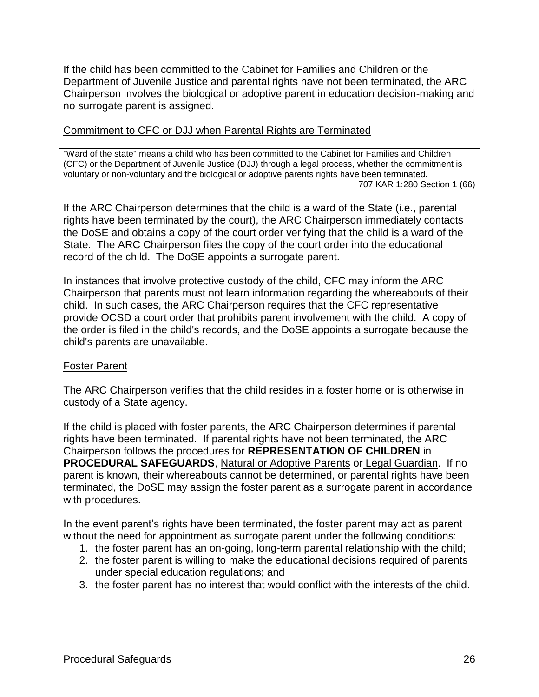If the child has been committed to the Cabinet for Families and Children or the Department of Juvenile Justice and parental rights have not been terminated, the ARC Chairperson involves the biological or adoptive parent in education decision-making and no surrogate parent is assigned.

### Commitment to CFC or DJJ when Parental Rights are Terminated

"Ward of the state" means a child who has been committed to the Cabinet for Families and Children (CFC) or the Department of Juvenile Justice (DJJ) through a legal process, whether the commitment is voluntary or non-voluntary and the biological or adoptive parents rights have been terminated. 707 KAR 1:280 Section 1 (66)

If the ARC Chairperson determines that the child is a ward of the State (i.e., parental rights have been terminated by the court), the ARC Chairperson immediately contacts the DoSE and obtains a copy of the court order verifying that the child is a ward of the State. The ARC Chairperson files the copy of the court order into the educational record of the child. The DoSE appoints a surrogate parent.

In instances that involve protective custody of the child, CFC may inform the ARC Chairperson that parents must not learn information regarding the whereabouts of their child. In such cases, the ARC Chairperson requires that the CFC representative provide OCSD a court order that prohibits parent involvement with the child. A copy of the order is filed in the child's records, and the DoSE appoints a surrogate because the child's parents are unavailable.

#### Foster Parent

The ARC Chairperson verifies that the child resides in a foster home or is otherwise in custody of a State agency.

If the child is placed with foster parents, the ARC Chairperson determines if parental rights have been terminated. If parental rights have not been terminated, the ARC Chairperson follows the procedures for **REPRESENTATION OF CHILDREN** in **PROCEDURAL SAFEGUARDS**, Natural or Adoptive Parents or Legal Guardian. If no parent is known, their whereabouts cannot be determined, or parental rights have been terminated, the DoSE may assign the foster parent as a surrogate parent in accordance with procedures.

In the event parent's rights have been terminated, the foster parent may act as parent without the need for appointment as surrogate parent under the following conditions:

- 1. the foster parent has an on-going, long-term parental relationship with the child;
- 2. the foster parent is willing to make the educational decisions required of parents under special education regulations; and
- 3. the foster parent has no interest that would conflict with the interests of the child.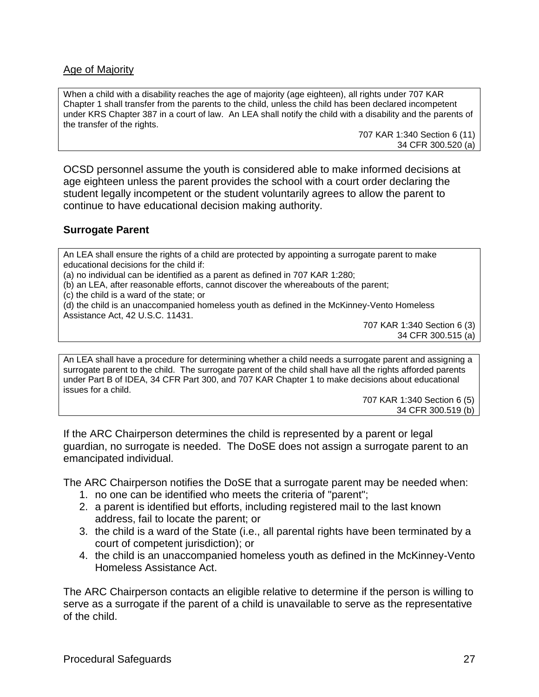### Age of Majority

When a child with a disability reaches the age of majority (age eighteen), all rights under 707 KAR Chapter 1 shall transfer from the parents to the child, unless the child has been declared incompetent under KRS Chapter 387 in a court of law. An LEA shall notify the child with a disability and the parents of the transfer of the rights.

> 707 KAR 1:340 Section 6 (11) 34 CFR 300.520 (a)

OCSD personnel assume the youth is considered able to make informed decisions at age eighteen unless the parent provides the school with a court order declaring the student legally incompetent or the student voluntarily agrees to allow the parent to continue to have educational decision making authority.

#### **Surrogate Parent**

An LEA shall ensure the rights of a child are protected by appointing a surrogate parent to make educational decisions for the child if:

(a) no individual can be identified as a parent as defined in 707 KAR 1:280;

(b) an LEA, after reasonable efforts, cannot discover the whereabouts of the parent;

(c) the child is a ward of the state; or

(d) the child is an unaccompanied homeless youth as defined in the McKinney-Vento Homeless Assistance Act, 42 U.S.C. 11431.

707 KAR 1:340 Section 6 (3) 34 CFR 300.515 (a)

An LEA shall have a procedure for determining whether a child needs a surrogate parent and assigning a surrogate parent to the child. The surrogate parent of the child shall have all the rights afforded parents under Part B of IDEA, 34 CFR Part 300, and 707 KAR Chapter 1 to make decisions about educational issues for a child.

707 KAR 1:340 Section 6 (5) 34 CFR 300.519 (b)

If the ARC Chairperson determines the child is represented by a parent or legal guardian, no surrogate is needed. The DoSE does not assign a surrogate parent to an emancipated individual.

The ARC Chairperson notifies the DoSE that a surrogate parent may be needed when:

- 1. no one can be identified who meets the criteria of "parent";
- 2. a parent is identified but efforts, including registered mail to the last known address, fail to locate the parent; or
- 3. the child is a ward of the State (i.e., all parental rights have been terminated by a court of competent jurisdiction); or
- 4. the child is an unaccompanied homeless youth as defined in the McKinney-Vento Homeless Assistance Act.

The ARC Chairperson contacts an eligible relative to determine if the person is willing to serve as a surrogate if the parent of a child is unavailable to serve as the representative of the child.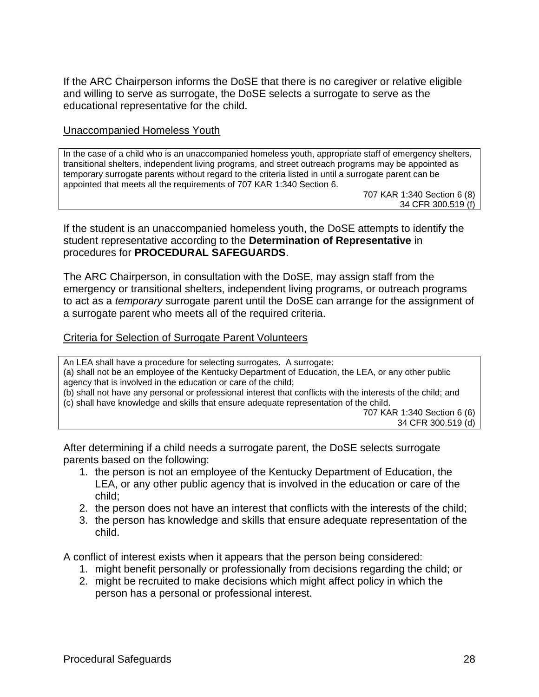If the ARC Chairperson informs the DoSE that there is no caregiver or relative eligible and willing to serve as surrogate, the DoSE selects a surrogate to serve as the educational representative for the child.

#### Unaccompanied Homeless Youth

In the case of a child who is an unaccompanied homeless youth, appropriate staff of emergency shelters, transitional shelters, independent living programs, and street outreach programs may be appointed as temporary surrogate parents without regard to the criteria listed in until a surrogate parent can be appointed that meets all the requirements of 707 KAR 1:340 Section 6.

707 KAR 1:340 Section 6 (8) 34 CFR 300.519 (f)

If the student is an unaccompanied homeless youth, the DoSE attempts to identify the student representative according to the **Determination of Representative** in procedures for **PROCEDURAL SAFEGUARDS**.

The ARC Chairperson, in consultation with the DoSE, may assign staff from the emergency or transitional shelters, independent living programs, or outreach programs to act as a *temporary* surrogate parent until the DoSE can arrange for the assignment of a surrogate parent who meets all of the required criteria.

#### Criteria for Selection of Surrogate Parent Volunteers

An LEA shall have a procedure for selecting surrogates. A surrogate: (a) shall not be an employee of the Kentucky Department of Education, the LEA, or any other public agency that is involved in the education or care of the child; (b) shall not have any personal or professional interest that conflicts with the interests of the child; and (c) shall have knowledge and skills that ensure adequate representation of the child. 707 KAR 1:340 Section 6 (6) 34 CFR 300.519 (d)

After determining if a child needs a surrogate parent, the DoSE selects surrogate parents based on the following:

- 1. the person is not an employee of the Kentucky Department of Education, the LEA, or any other public agency that is involved in the education or care of the child;
- 2. the person does not have an interest that conflicts with the interests of the child;
- 3. the person has knowledge and skills that ensure adequate representation of the child.

A conflict of interest exists when it appears that the person being considered:

- 1. might benefit personally or professionally from decisions regarding the child; or
- 2. might be recruited to make decisions which might affect policy in which the person has a personal or professional interest.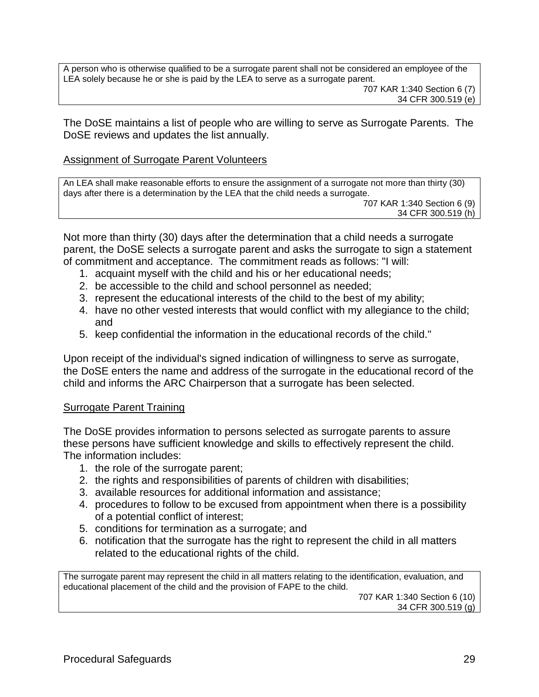A person who is otherwise qualified to be a surrogate parent shall not be considered an employee of the LEA solely because he or she is paid by the LEA to serve as a surrogate parent. 707 KAR 1:340 Section 6 (7)

34 CFR 300.519 (e)

The DoSE maintains a list of people who are willing to serve as Surrogate Parents. The DoSE reviews and updates the list annually.

### Assignment of Surrogate Parent Volunteers

An LEA shall make reasonable efforts to ensure the assignment of a surrogate not more than thirty (30) days after there is a determination by the LEA that the child needs a surrogate.

707 KAR 1:340 Section 6 (9) 34 CFR 300.519 (h)

Not more than thirty (30) days after the determination that a child needs a surrogate parent, the DoSE selects a surrogate parent and asks the surrogate to sign a statement of commitment and acceptance. The commitment reads as follows: "I will:

- 1. acquaint myself with the child and his or her educational needs;
- 2. be accessible to the child and school personnel as needed;
- 3. represent the educational interests of the child to the best of my ability;
- 4. have no other vested interests that would conflict with my allegiance to the child; and
- 5. keep confidential the information in the educational records of the child."

Upon receipt of the individual's signed indication of willingness to serve as surrogate, the DoSE enters the name and address of the surrogate in the educational record of the child and informs the ARC Chairperson that a surrogate has been selected.

#### Surrogate Parent Training

The DoSE provides information to persons selected as surrogate parents to assure these persons have sufficient knowledge and skills to effectively represent the child. The information includes:

- 1. the role of the surrogate parent;
- 2. the rights and responsibilities of parents of children with disabilities;
- 3. available resources for additional information and assistance;
- 4. procedures to follow to be excused from appointment when there is a possibility of a potential conflict of interest;
- 5. conditions for termination as a surrogate; and
- 6. notification that the surrogate has the right to represent the child in all matters related to the educational rights of the child.

The surrogate parent may represent the child in all matters relating to the identification, evaluation, and educational placement of the child and the provision of FAPE to the child.

707 KAR 1:340 Section 6 (10) 34 CFR 300.519 (g)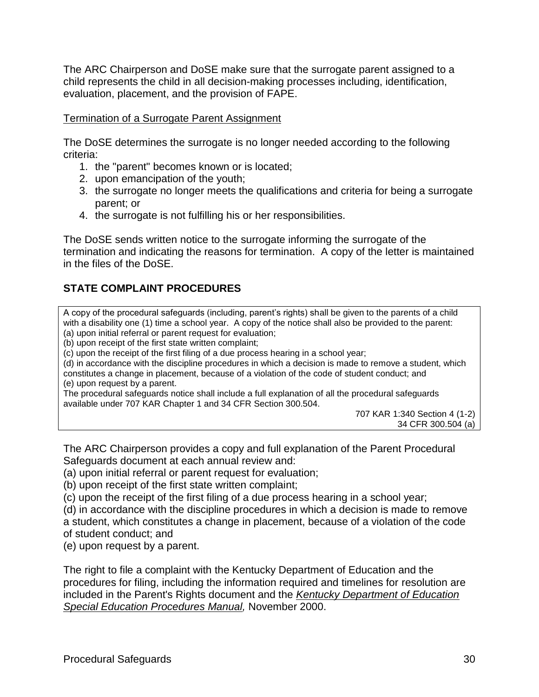The ARC Chairperson and DoSE make sure that the surrogate parent assigned to a child represents the child in all decision-making processes including, identification, evaluation, placement, and the provision of FAPE.

#### Termination of a Surrogate Parent Assignment

The DoSE determines the surrogate is no longer needed according to the following criteria:

- 1. the "parent" becomes known or is located;
- 2. upon emancipation of the youth;
- 3. the surrogate no longer meets the qualifications and criteria for being a surrogate parent; or
- 4. the surrogate is not fulfilling his or her responsibilities.

The DoSE sends written notice to the surrogate informing the surrogate of the termination and indicating the reasons for termination. A copy of the letter is maintained in the files of the DoSE.

# **STATE COMPLAINT PROCEDURES**

A copy of the procedural safeguards (including, parent's rights) shall be given to the parents of a child with a disability one (1) time a school year. A copy of the notice shall also be provided to the parent: (a) upon initial referral or parent request for evaluation;

(b) upon receipt of the first state written complaint;

(c) upon the receipt of the first filing of a due process hearing in a school year;

(d) in accordance with the discipline procedures in which a decision is made to remove a student, which constitutes a change in placement, because of a violation of the code of student conduct; and (e) upon request by a parent.

The procedural safeguards notice shall include a full explanation of all the procedural safeguards available under 707 KAR Chapter 1 and 34 CFR Section 300.504.

707 KAR 1:340 Section 4 (1-2) 34 CFR 300.504 (a)

The ARC Chairperson provides a copy and full explanation of the Parent Procedural Safeguards document at each annual review and:

(a) upon initial referral or parent request for evaluation;

(b) upon receipt of the first state written complaint;

(c) upon the receipt of the first filing of a due process hearing in a school year;

(d) in accordance with the discipline procedures in which a decision is made to remove a student, which constitutes a change in placement, because of a violation of the code of student conduct; and

(e) upon request by a parent.

The right to file a complaint with the Kentucky Department of Education and the procedures for filing, including the information required and timelines for resolution are included in the Parent's Rights document and the *Kentucky Department of Education Special Education Procedures Manual,* November 2000.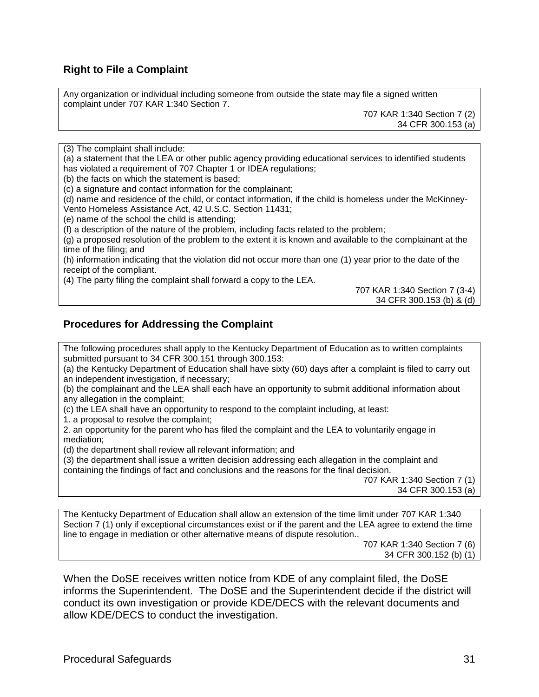### **Right to File a Complaint**

Any organization or individual including someone from outside the state may file a signed written complaint under 707 KAR 1:340 Section 7.

> 707 KAR 1:340 Section 7 (2) 34 CFR 300.153 (a)

(3) The complaint shall include:

(a) a statement that the LEA or other public agency providing educational services to identified students has violated a requirement of 707 Chapter 1 or IDEA regulations;

(b) the facts on which the statement is based;

(c) a signature and contact information for the complainant;

(d) name and residence of the child, or contact information, if the child is homeless under the McKinney-Vento Homeless Assistance Act, 42 U.S.C. Section 11431;

(e) name of the school the child is attending;

(f) a description of the nature of the problem, including facts related to the problem;

(g) a proposed resolution of the problem to the extent it is known and available to the complainant at the time of the filing; and

(h) information indicating that the violation did not occur more than one (1) year prior to the date of the receipt of the compliant.

(4) The party filing the complaint shall forward a copy to the LEA.

707 KAR 1:340 Section 7 (3-4) 34 CFR 300.153 (b) & (d)

#### **Procedures for Addressing the Complaint**

The following procedures shall apply to the Kentucky Department of Education as to written complaints submitted pursuant to 34 CFR 300.151 through 300.153:

(a) the Kentucky Department of Education shall have sixty (60) days after a complaint is filed to carry out an independent investigation, if necessary;

(b) the complainant and the LEA shall each have an opportunity to submit additional information about any allegation in the complaint;

(c) the LEA shall have an opportunity to respond to the complaint including, at least:

1. a proposal to resolve the complaint;

2. an opportunity for the parent who has filed the complaint and the LEA to voluntarily engage in mediation;

(d) the department shall review all relevant information; and

(3) the department shall issue a written decision addressing each allegation in the complaint and containing the findings of fact and conclusions and the reasons for the final decision.

707 KAR 1:340 Section 7 (1) 34 CFR 300.153 (a)

The Kentucky Department of Education shall allow an extension of the time limit under 707 KAR 1:340 Section 7 (1) only if exceptional circumstances exist or if the parent and the LEA agree to extend the time line to engage in mediation or other alternative means of dispute resolution..

> 707 KAR 1:340 Section 7 (6) 34 CFR 300.152 (b) (1)

When the DoSE receives written notice from KDE of any complaint filed, the DoSE informs the Superintendent. The DoSE and the Superintendent decide if the district will conduct its own investigation or provide KDE/DECS with the relevant documents and allow KDE/DECS to conduct the investigation.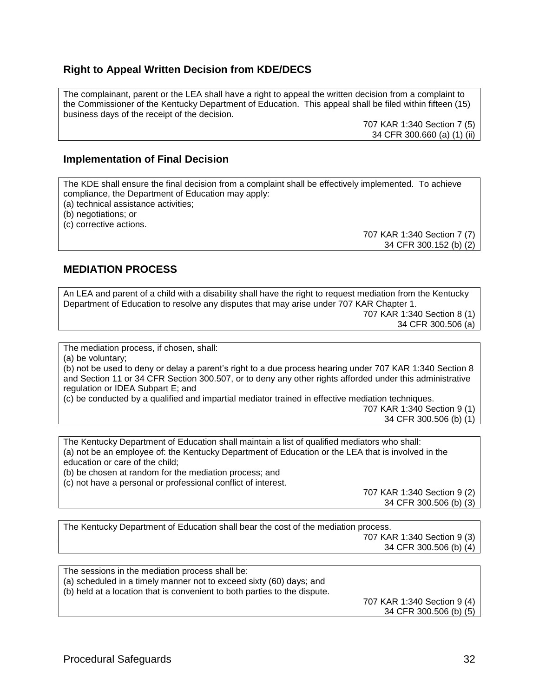### **Right to Appeal Written Decision from KDE/DECS**

The complainant, parent or the LEA shall have a right to appeal the written decision from a complaint to the Commissioner of the Kentucky Department of Education. This appeal shall be filed within fifteen (15) business days of the receipt of the decision.

> 707 KAR 1:340 Section 7 (5) 34 CFR 300.660 (a) (1) (ii)

#### **Implementation of Final Decision**

The KDE shall ensure the final decision from a complaint shall be effectively implemented. To achieve compliance, the Department of Education may apply:

(a) technical assistance activities;

(b) negotiations; or

(c) corrective actions.

707 KAR 1:340 Section 7 (7) 34 CFR 300.152 (b) (2)

#### **MEDIATION PROCESS**

An LEA and parent of a child with a disability shall have the right to request mediation from the Kentucky Department of Education to resolve any disputes that may arise under 707 KAR Chapter 1. 707 KAR 1:340 Section 8 (1) 34 CFR 300.506 (a)

The mediation process, if chosen, shall:

(a) be voluntary;

(b) not be used to deny or delay a parent's right to a due process hearing under 707 KAR 1:340 Section 8 and Section 11 or 34 CFR Section 300.507, or to deny any other rights afforded under this administrative regulation or IDEA Subpart E; and

(c) be conducted by a qualified and impartial mediator trained in effective mediation techniques.

707 KAR 1:340 Section 9 (1) 34 CFR 300.506 (b) (1)

The Kentucky Department of Education shall maintain a list of qualified mediators who shall: (a) not be an employee of: the Kentucky Department of Education or the LEA that is involved in the education or care of the child;

(b) be chosen at random for the mediation process; and

(c) not have a personal or professional conflict of interest.

707 KAR 1:340 Section 9 (2) 34 CFR 300.506 (b) (3)

| The Kentucky Department of Education shall bear the cost of the mediation process. |
|------------------------------------------------------------------------------------|
| 707 KAR 1:340 Section 9 (3)                                                        |
| 34 CFR 300.506 (b) (4)                                                             |
|                                                                                    |

The sessions in the mediation process shall be: (a) scheduled in a timely manner not to exceed sixty (60) days; and (b) held at a location that is convenient to both parties to the dispute. 707 KAR 1:340 Section 9 (4)

34 CFR 300.506 (b) (5)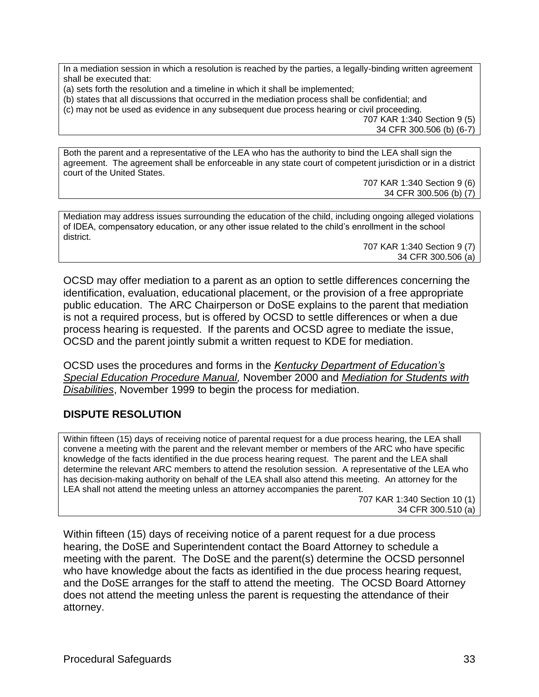In a mediation session in which a resolution is reached by the parties, a legally-binding written agreement shall be executed that:

(a) sets forth the resolution and a timeline in which it shall be implemented;

(b) states that all discussions that occurred in the mediation process shall be confidential; and

(c) may not be used as evidence in any subsequent due process hearing or civil proceeding.

707 KAR 1:340 Section 9 (5) 34 CFR 300.506 (b) (6-7)

Both the parent and a representative of the LEA who has the authority to bind the LEA shall sign the agreement. The agreement shall be enforceable in any state court of competent jurisdiction or in a district court of the United States.

707 KAR 1:340 Section 9 (6) 34 CFR 300.506 (b) (7)

Mediation may address issues surrounding the education of the child, including ongoing alleged violations of IDEA, compensatory education, or any other issue related to the child's enrollment in the school district.

707 KAR 1:340 Section 9 (7) 34 CFR 300.506 (a)

OCSD may offer mediation to a parent as an option to settle differences concerning the identification, evaluation, educational placement, or the provision of a free appropriate public education. The ARC Chairperson or DoSE explains to the parent that mediation is not a required process, but is offered by OCSD to settle differences or when a due process hearing is requested. If the parents and OCSD agree to mediate the issue, OCSD and the parent jointly submit a written request to KDE for mediation.

OCSD uses the procedures and forms in the *Kentucky Department of Education's Special Education Procedure Manual,* November 2000 and *Mediation for Students with Disabilities*, November 1999 to begin the process for mediation.

## **DISPUTE RESOLUTION**

Within fifteen (15) days of receiving notice of parental request for a due process hearing, the LEA shall convene a meeting with the parent and the relevant member or members of the ARC who have specific knowledge of the facts identified in the due process hearing request. The parent and the LEA shall determine the relevant ARC members to attend the resolution session. A representative of the LEA who has decision-making authority on behalf of the LEA shall also attend this meeting. An attorney for the LEA shall not attend the meeting unless an attorney accompanies the parent.

707 KAR 1:340 Section 10 (1) 34 CFR 300.510 (a)

Within fifteen (15) days of receiving notice of a parent request for a due process hearing, the DoSE and Superintendent contact the Board Attorney to schedule a meeting with the parent. The DoSE and the parent(s) determine the OCSD personnel who have knowledge about the facts as identified in the due process hearing request, and the DoSE arranges for the staff to attend the meeting. The OCSD Board Attorney does not attend the meeting unless the parent is requesting the attendance of their attorney.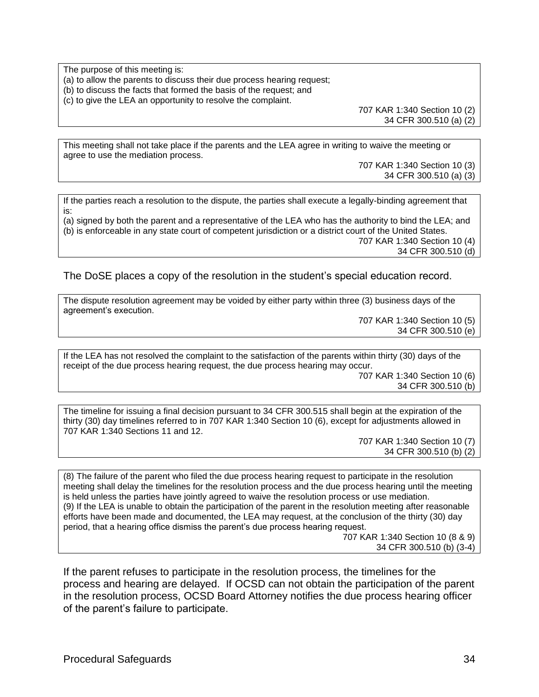The purpose of this meeting is: (a) to allow the parents to discuss their due process hearing request; (b) to discuss the facts that formed the basis of the request; and (c) to give the LEA an opportunity to resolve the complaint.

707 KAR 1:340 Section 10 (2) 34 CFR 300.510 (a) (2)

This meeting shall not take place if the parents and the LEA agree in writing to waive the meeting or agree to use the mediation process.

> 707 KAR 1:340 Section 10 (3) 34 CFR 300.510 (a) (3)

If the parties reach a resolution to the dispute, the parties shall execute a legally-binding agreement that is:

(a) signed by both the parent and a representative of the LEA who has the authority to bind the LEA; and (b) is enforceable in any state court of competent jurisdiction or a district court of the United States. 707 KAR 1:340 Section 10 (4) 34 CFR 300.510 (d)

The DoSE places a copy of the resolution in the student's special education record.

The dispute resolution agreement may be voided by either party within three (3) business days of the agreement's execution.

> 707 KAR 1:340 Section 10 (5) 34 CFR 300.510 (e)

If the LEA has not resolved the complaint to the satisfaction of the parents within thirty (30) days of the receipt of the due process hearing request, the due process hearing may occur.

707 KAR 1:340 Section 10 (6) 34 CFR 300.510 (b)

The timeline for issuing a final decision pursuant to 34 CFR 300.515 shall begin at the expiration of the thirty (30) day timelines referred to in 707 KAR 1:340 Section 10 (6), except for adjustments allowed in 707 KAR 1:340 Sections 11 and 12.

> 707 KAR 1:340 Section 10 (7) 34 CFR 300.510 (b) (2)

(8) The failure of the parent who filed the due process hearing request to participate in the resolution meeting shall delay the timelines for the resolution process and the due process hearing until the meeting is held unless the parties have jointly agreed to waive the resolution process or use mediation. (9) If the LEA is unable to obtain the participation of the parent in the resolution meeting after reasonable efforts have been made and documented, the LEA may request, at the conclusion of the thirty (30) day period, that a hearing office dismiss the parent's due process hearing request.

707 KAR 1:340 Section 10 (8 & 9) 34 CFR 300.510 (b) (3-4)

If the parent refuses to participate in the resolution process, the timelines for the process and hearing are delayed. If OCSD can not obtain the participation of the parent in the resolution process, OCSD Board Attorney notifies the due process hearing officer of the parent's failure to participate.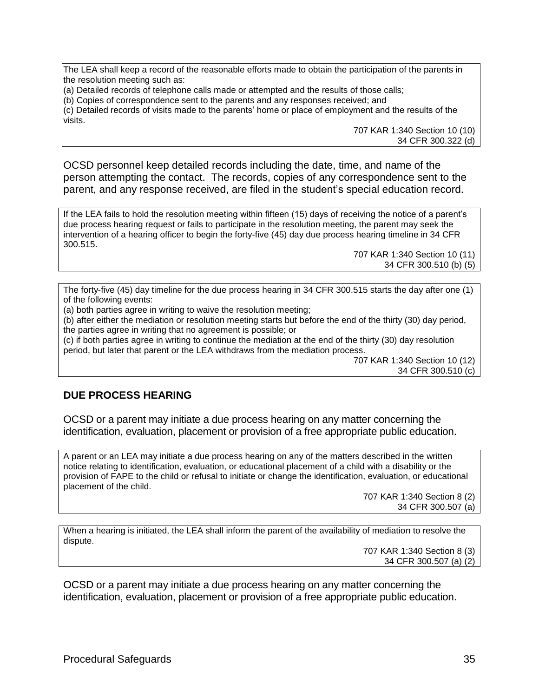The LEA shall keep a record of the reasonable efforts made to obtain the participation of the parents in the resolution meeting such as:

(a) Detailed records of telephone calls made or attempted and the results of those calls;

(b) Copies of correspondence sent to the parents and any responses received; and

(c) Detailed records of visits made to the parents' home or place of employment and the results of the visits.

> 707 KAR 1:340 Section 10 (10) 34 CFR 300.322 (d)

OCSD personnel keep detailed records including the date, time, and name of the person attempting the contact. The records, copies of any correspondence sent to the parent, and any response received, are filed in the student's special education record.

If the LEA fails to hold the resolution meeting within fifteen (15) days of receiving the notice of a parent's due process hearing request or fails to participate in the resolution meeting, the parent may seek the intervention of a hearing officer to begin the forty-five (45) day due process hearing timeline in 34 CFR 300.515.

707 KAR 1:340 Section 10 (11) 34 CFR 300.510 (b) (5)

The forty-five (45) day timeline for the due process hearing in 34 CFR 300.515 starts the day after one (1) of the following events:

(a) both parties agree in writing to waive the resolution meeting;

(b) after either the mediation or resolution meeting starts but before the end of the thirty (30) day period, the parties agree in writing that no agreement is possible; or

(c) if both parties agree in writing to continue the mediation at the end of the thirty (30) day resolution period, but later that parent or the LEA withdraws from the mediation process.

707 KAR 1:340 Section 10 (12) 34 CFR 300.510 (c)

#### **DUE PROCESS HEARING**

OCSD or a parent may initiate a due process hearing on any matter concerning the identification, evaluation, placement or provision of a free appropriate public education.

A parent or an LEA may initiate a due process hearing on any of the matters described in the written notice relating to identification, evaluation, or educational placement of a child with a disability or the provision of FAPE to the child or refusal to initiate or change the identification, evaluation, or educational placement of the child.

> 707 KAR 1:340 Section 8 (2) 34 CFR 300.507 (a)

When a hearing is initiated, the LEA shall inform the parent of the availability of mediation to resolve the dispute.

> 707 KAR 1:340 Section 8 (3) 34 CFR 300.507 (a) (2)

OCSD or a parent may initiate a due process hearing on any matter concerning the identification, evaluation, placement or provision of a free appropriate public education.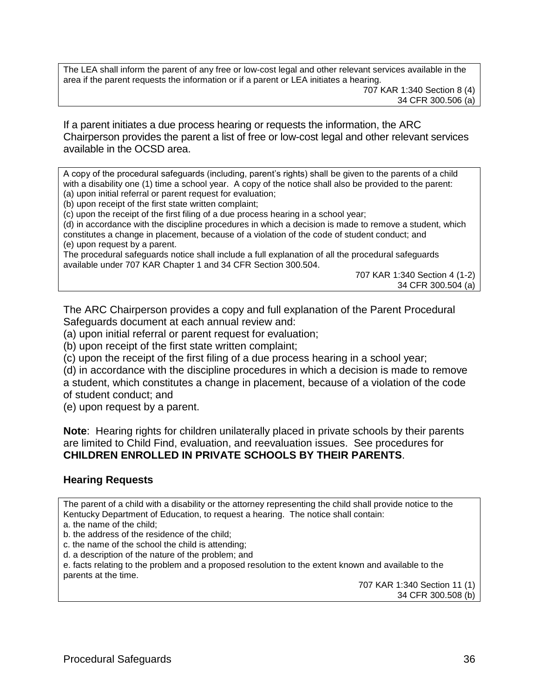The LEA shall inform the parent of any free or low-cost legal and other relevant services available in the area if the parent requests the information or if a parent or LEA initiates a hearing.

If a parent initiates a due process hearing or requests the information, the ARC Chairperson provides the parent a list of free or low-cost legal and other relevant services available in the OCSD area.

A copy of the procedural safeguards (including, parent's rights) shall be given to the parents of a child with a disability one (1) time a school year. A copy of the notice shall also be provided to the parent: (a) upon initial referral or parent request for evaluation;

(b) upon receipt of the first state written complaint;

(c) upon the receipt of the first filing of a due process hearing in a school year;

(d) in accordance with the discipline procedures in which a decision is made to remove a student, which constitutes a change in placement, because of a violation of the code of student conduct; and (e) upon request by a parent.

The procedural safeguards notice shall include a full explanation of all the procedural safeguards available under 707 KAR Chapter 1 and 34 CFR Section 300.504.

707 KAR 1:340 Section 4 (1-2) 34 CFR 300.504 (a)

The ARC Chairperson provides a copy and full explanation of the Parent Procedural Safeguards document at each annual review and:

(a) upon initial referral or parent request for evaluation;

(b) upon receipt of the first state written complaint;

(c) upon the receipt of the first filing of a due process hearing in a school year;

(d) in accordance with the discipline procedures in which a decision is made to remove a student, which constitutes a change in placement, because of a violation of the code of student conduct; and

(e) upon request by a parent.

**Note**: Hearing rights for children unilaterally placed in private schools by their parents are limited to Child Find, evaluation, and reevaluation issues. See procedures for **CHILDREN ENROLLED IN PRIVATE SCHOOLS BY THEIR PARENTS**.

#### **Hearing Requests**

The parent of a child with a disability or the attorney representing the child shall provide notice to the Kentucky Department of Education, to request a hearing. The notice shall contain:

a. the name of the child;

b. the address of the residence of the child;

c. the name of the school the child is attending;

d. a description of the nature of the problem; and

e. facts relating to the problem and a proposed resolution to the extent known and available to the parents at the time.

707 KAR 1:340 Section 11 (1) 34 CFR 300.508 (b)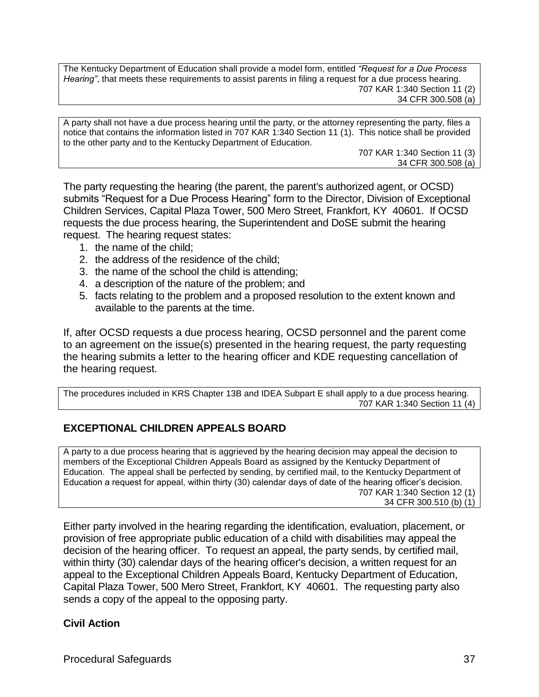The Kentucky Department of Education shall provide a model form, entitled *"Request for a Due Process Hearing"*, that meets these requirements to assist parents in filing a request for a due process hearing. 707 KAR 1:340 Section 11 (2) 34 CFR 300.508 (a)

A party shall not have a due process hearing until the party, or the attorney representing the party, files a notice that contains the information listed in 707 KAR 1:340 Section 11 (1). This notice shall be provided to the other party and to the Kentucky Department of Education.

707 KAR 1:340 Section 11 (3) 34 CFR 300.508 (a)

The party requesting the hearing (the parent, the parent's authorized agent, or OCSD) submits "Request for a Due Process Hearing" form to the Director, Division of Exceptional Children Services, Capital Plaza Tower, 500 Mero Street, Frankfort, KY 40601. If OCSD requests the due process hearing, the Superintendent and DoSE submit the hearing request. The hearing request states:

- 1. the name of the child;
- 2. the address of the residence of the child;
- 3. the name of the school the child is attending;
- 4. a description of the nature of the problem; and
- 5. facts relating to the problem and a proposed resolution to the extent known and available to the parents at the time.

If, after OCSD requests a due process hearing, OCSD personnel and the parent come to an agreement on the issue(s) presented in the hearing request, the party requesting the hearing submits a letter to the hearing officer and KDE requesting cancellation of the hearing request.

The procedures included in KRS Chapter 13B and IDEA Subpart E shall apply to a due process hearing. 707 KAR 1:340 Section 11 (4)

#### **EXCEPTIONAL CHILDREN APPEALS BOARD**

A party to a due process hearing that is aggrieved by the hearing decision may appeal the decision to members of the Exceptional Children Appeals Board as assigned by the Kentucky Department of Education. The appeal shall be perfected by sending, by certified mail, to the Kentucky Department of Education a request for appeal, within thirty (30) calendar days of date of the hearing officer's decision. 707 KAR 1:340 Section 12 (1) 34 CFR 300.510 (b) (1)

Either party involved in the hearing regarding the identification, evaluation, placement, or provision of free appropriate public education of a child with disabilities may appeal the decision of the hearing officer. To request an appeal, the party sends, by certified mail, within thirty (30) calendar days of the hearing officer's decision, a written request for an appeal to the Exceptional Children Appeals Board, Kentucky Department of Education, Capital Plaza Tower, 500 Mero Street, Frankfort, KY 40601. The requesting party also sends a copy of the appeal to the opposing party.

#### **Civil Action**